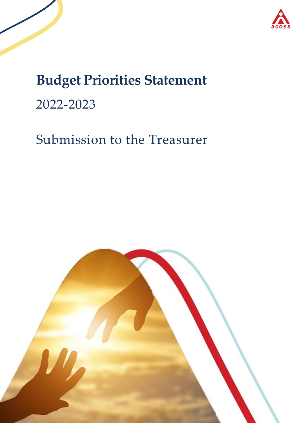



# **Budget Priorities Statement** 2022-2023

# Submission to the Treasurer

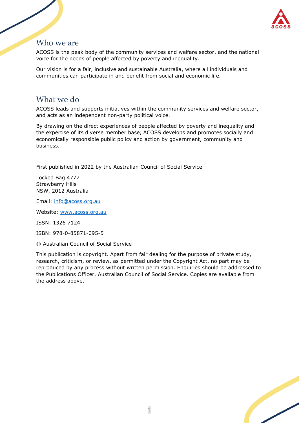

### Who we are

ACOSS is the peak body of the community services and welfare sector, and the national voice for the needs of people affected by poverty and inequality.

Our vision is for a fair, inclusive and sustainable Australia, where all individuals and communities can participate in and benefit from social and economic life.

## What we do

ACOSS leads and supports initiatives within the community services and welfare sector, and acts as an independent non-party political voice.

By drawing on the direct experiences of people affected by poverty and inequality and the expertise of its diverse member base, ACOSS develops and promotes socially and economically responsible public policy and action by government, community and business.

First published in 2022 by the Australian Council of Social Service

Locked Bag 4777 Strawberry Hills NSW, 2012 Australia

Email: [info@acoss.org.au](mailto:info@acoss.org.au) 

Website: [www.acoss.org.au](http://www.acoss.org.au/)

ISSN: 1326 7124

ISBN: 978-0-85871-095-5

© Australian Council of Social Service

This publication is copyright. Apart from fair dealing for the purpose of private study, research, criticism, or review, as permitted under the Copyright Act, no part may be reproduced by any process without written permission. Enquiries should be addressed to the Publications Officer, Australian Council of Social Service. Copies are available from the address above.

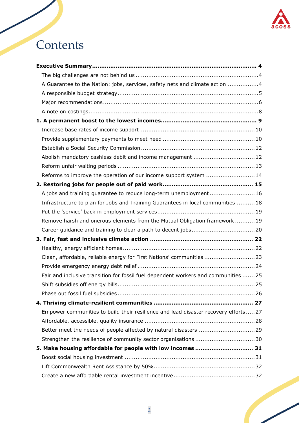

# **Contents**

| A Guarantee to the Nation: jobs, services, safety nets and climate action 4        |
|------------------------------------------------------------------------------------|
|                                                                                    |
|                                                                                    |
|                                                                                    |
|                                                                                    |
|                                                                                    |
|                                                                                    |
|                                                                                    |
| Abolish mandatory cashless debit and income management  12                         |
|                                                                                    |
| Reforms to improve the operation of our income support system 14                   |
|                                                                                    |
| A jobs and training guarantee to reduce long-term unemployment16                   |
| Infrastructure to plan for Jobs and Training Guarantees in local communities 18    |
|                                                                                    |
| Remove harsh and onerous elements from the Mutual Obligation framework19           |
|                                                                                    |
|                                                                                    |
|                                                                                    |
| Clean, affordable, reliable energy for First Nations' communities  23              |
|                                                                                    |
| Fair and inclusive transition for fossil fuel dependent workers and communities 25 |
|                                                                                    |
|                                                                                    |
|                                                                                    |
| Empower communities to build their resilience and lead disaster recovery efforts27 |
|                                                                                    |
|                                                                                    |
|                                                                                    |
| 5. Make housing affordable for people with low incomes  31                         |
|                                                                                    |
|                                                                                    |
|                                                                                    |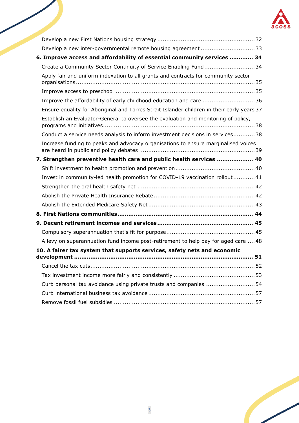

| Develop a new inter-governmental remote housing agreement 33                               |    |
|--------------------------------------------------------------------------------------------|----|
| 6. Improve access and affordability of essential community services  34                    |    |
| Create a Community Sector Continuity of Service Enabling Fund34                            |    |
| Apply fair and uniform indexation to all grants and contracts for community sector         |    |
|                                                                                            |    |
| Improve the affordability of early childhood education and care 36                         |    |
| Ensure equality for Aboriginal and Torres Strait Islander children in their early years 37 |    |
| Establish an Evaluator-General to oversee the evaluation and monitoring of policy,         |    |
| Conduct a service needs analysis to inform investment decisions in services38              |    |
| Increase funding to peaks and advocacy organisations to ensure marginalised voices         |    |
| 7. Strengthen preventive health care and public health services  40                        |    |
|                                                                                            |    |
| Invest in community-led health promotion for COVID-19 vaccination rollout41                |    |
|                                                                                            |    |
|                                                                                            |    |
|                                                                                            |    |
|                                                                                            |    |
|                                                                                            |    |
|                                                                                            |    |
| A levy on superannuation fund income post-retirement to help pay for aged care  48         |    |
| 10. A fairer tax system that supports services, safety nets and economic<br>development    | 51 |
|                                                                                            |    |
|                                                                                            |    |
| Curb personal tax avoidance using private trusts and companies 54                          |    |
|                                                                                            |    |
|                                                                                            |    |
|                                                                                            |    |

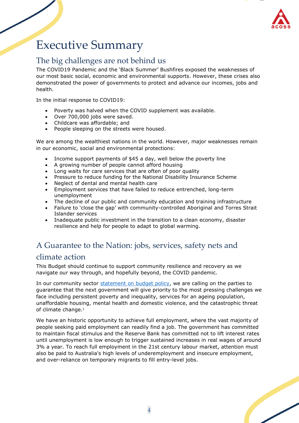

# <span id="page-4-0"></span>Executive Summary

## <span id="page-4-1"></span>The big challenges are not behind us

The COVID19 Pandemic and the 'Black Summer' Bushfires exposed the weaknesses of our most basic social, economic and environmental supports. However, these crises also demonstrated the power of governments to protect and advance our incomes, jobs and health.

In the initial response to COVID19:

- Poverty was halved when the COVID supplement was available.
- Over 700,000 jobs were saved.
- Childcare was affordable; and
- People sleeping on the streets were housed.

We are among the wealthiest nations in the world. However, major weaknesses remain in our economic, social and environmental protections:

- Income support payments of \$45 a day, well below the poverty line
- A growing number of people cannot afford housing
- Long waits for care services that are often of poor quality<br>• Pressure to reduce funding for the National Disability Insur
- Pressure to reduce funding for the National Disability Insurance Scheme
- Neglect of dental and mental health care
- Employment services that have failed to reduce entrenched, long-term unemployment
- The decline of our public and community education and training infrastructure
- Failure to 'close the gap' with community-controlled Aboriginal and Torres Strait Islander services
- Inadequate public investment in the transition to a clean economy, disaster resilience and help for people to adapt to global warming.

## <span id="page-4-2"></span>A Guarantee to the Nation: jobs, services, safety nets and

## climate action

This Budget should continue to support community resilience and recovery as we navigate our way through, and hopefully beyond, the COVID pandemic.

In our community sector [statement on budget policy,](https://www.acoss.org.au/wp-content/uploads/2021/08/A-Guarantee-To-The-Nation-Final-Release.pdf) we are calling on the parties to guarantee that the next government will give priority to the most pressing challenges we face including persistent poverty and inequality, services for an ageing population, unaffordable housing, mental health and domestic violence, and the catastrophic threat of climate change.<sup>1</sup>

We have an historic opportunity to achieve full employment, where the vast majority of people seeking paid employment can readily find a job. The government has committed to maintain fiscal stimulus and the Reserve Bank has committed not to lift interest rates until unemployment is low enough to trigger sustained increases in real wages of around 3% a year. To reach full employment in the 21st century labour market, attention must also be paid to Australia's high levels of underemployment and insecure employment, and over-reliance on temporary migrants to fill entry-level jobs.

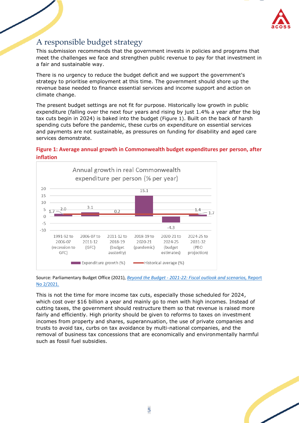

## <span id="page-5-0"></span>A responsible budget strategy

This submission recommends that the government invests in policies and programs that meet the challenges we face and strengthen public revenue to pay for that investment in a fair and sustainable way.

There is no urgency to reduce the budget deficit and we support the government's strategy to prioritise employment at this time. The government should shore up the revenue base needed to finance essential services and income support and action on climate change.

The present budget settings are not fit for purpose. Historically low growth in public expenditure (falling over the next four years and rising by just 1.4% a year after the big tax cuts begin in 2024) is baked into the budget (Figure 1). Built on the back of harsh spending cuts before the pandemic, these curbs on expenditure on essential services and payments are not sustainable, as pressures on funding for disability and aged care services demonstrate.

### **Figure 1: Average annual growth in Commonwealth budget expenditures per person, after inflation**



Source: Parliamentary Budget Office (2021), *Beyond the Budget - [2021-22: Fiscal outlook and scenarios,](https://www.aph.gov.au/-/media/05_About_Parliament/54_Parliamentary_Depts/548_Parliamentary_Budget_Office/Reports/2021-22/Beyond_the_budget_2021-22/Beyond_the_Budget_2021-22_-_Snapshot_PDF.pdf?la=en&hash=6596B3AF610CF86315CBB73DF0B4D4FA2A6BEB61)* Report [No 2/2021.](https://www.aph.gov.au/-/media/05_About_Parliament/54_Parliamentary_Depts/548_Parliamentary_Budget_Office/Reports/2021-22/Beyond_the_budget_2021-22/Beyond_the_Budget_2021-22_-_Snapshot_PDF.pdf?la=en&hash=6596B3AF610CF86315CBB73DF0B4D4FA2A6BEB61)

This is not the time for more income tax cuts, especially those scheduled for 2024, which cost over \$16 billion a year and mainly go to men with high incomes. Instead of cutting taxes, the government should restructure them so that revenue is raised more fairly and efficiently. High priority should be given to reforms to taxes on investment incomes from property and shares, superannuation, the use of private companies and trusts to avoid tax, curbs on tax avoidance by multi-national companies, and the removal of business tax concessions that are economically and environmentally harmful such as fossil fuel subsidies.

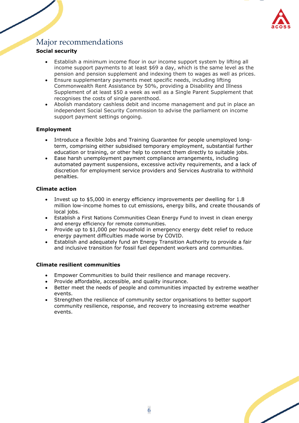

## <span id="page-6-0"></span>Major recommendations

### **Social security**

- Establish a minimum income floor in our income support system by lifting all income support payments to at least \$69 a day, which is the same level as the pension and pension supplement and indexing them to wages as well as prices.
- Ensure supplementary payments meet specific needs, including lifting Commonwealth Rent Assistance by 50%, providing a Disability and Illness Supplement of at least \$50 a week as well as a Single Parent Supplement that recognises the costs of single parenthood.
- Abolish mandatory cashless debit and income management and put in place an independent Social Security Commission to advise the parliament on income support payment settings ongoing.

#### **Employment**

- Introduce a flexible Jobs and Training Guarantee for people unemployed longterm, comprising either subsidised temporary employment, substantial further education or training, or other help to connect them directly to suitable jobs.
- Ease harsh unemployment payment compliance arrangements, including automated payment suspensions, excessive activity requirements, and a lack of discretion for employment service providers and Services Australia to withhold penalties.

#### **Climate action**

- Invest up to \$5,000 in energy efficiency improvements per dwelling for 1.8 million low-income homes to cut emissions, energy bills, and create thousands of local jobs.
- Establish a First Nations Communities Clean Energy Fund to invest in clean energy and energy efficiency for remote communities.
- Provide up to \$1,000 per household in emergency energy debt relief to reduce energy payment difficulties made worse by COVID.
- Establish and adequately fund an Energy Transition Authority to provide a fair and inclusive transition for fossil fuel dependent workers and communities.

#### **Climate resilient communities**

- Empower Communities to build their resilience and manage recovery.
- Provide affordable, accessible, and quality insurance.
- Better meet the needs of people and communities impacted by extreme weather events.
- Strengthen the resilience of community sector organisations to better support community resilience, response, and recovery to increasing extreme weather events.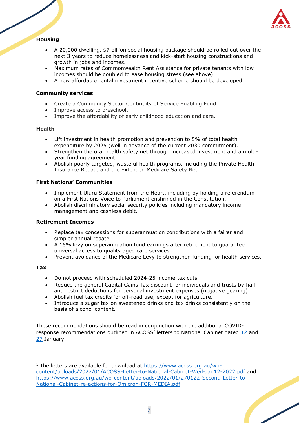

### **Housing**

- A 20,000 dwelling, \$7 billion social housing package should be rolled out over the next 3 years to reduce homelessness and kick-start housing constructions and growth in jobs and incomes.
- Maximum rates of Commonwealth Rent Assistance for private tenants with low incomes should be doubled to ease housing stress (see above).
- A new affordable rental investment incentive scheme should be developed.

#### **Community services**

- Create a Community Sector Continuity of Service Enabling Fund.
- Improve access to preschool.
- Improve the affordability of early childhood education and care.

#### **Health**

- Lift investment in health promotion and prevention to 5% of total health expenditure by 2025 (well in advance of the current 2030 commitment).
- Strengthen the oral health safety net through increased investment and a multiyear funding agreement.
- Abolish poorly targeted, wasteful health programs, including the Private Health Insurance Rebate and the Extended Medicare Safety Net.

#### **First Nations' Communities**

- Implement Uluru Statement from the Heart, including by holding a referendum on a First Nations Voice to Parliament enshrined in the Constitution.
- Abolish discriminatory social security policies including mandatory income management and cashless debit.

#### **Retirement Incomes**

- Replace tax concessions for superannuation contributions with a fairer and simpler annual rebate
- A 15% levy on superannuation fund earnings after retirement to guarantee universal access to quality aged care services
- Prevent avoidance of the Medicare Levy to strengthen funding for health services.

#### **Tax**

- Do not proceed with scheduled 2024-25 income tax cuts.
- Reduce the general Capital Gains Tax discount for individuals and trusts by half and restrict deductions for personal investment expenses (negative gearing).
- Abolish fuel tax credits for off-road use, except for agriculture.
- Introduce a sugar tax on sweetened drinks and tax drinks consistently on the basis of alcohol content.

These recommendations should be read in conjunction with the additional COVIDresponse recommendations outlined in ACOSS' letters to National Cabinet dated [12](https://www.acoss.org.au/wp-content/uploads/2022/01/ACOSS-Letter-to-National-Cabinet-Wed-Jan12-2022.pdf) and  $27$  January. $1$ 

<sup>&</sup>lt;sup>1</sup> The letters are available for download at [https://www.acoss.org.au/wp](https://www.acoss.org.au/wp-content/uploads/2022/01/ACOSS-Letter-to-National-Cabinet-Wed-Jan12-2022.pdf)[content/uploads/2022/01/ACOSS-Letter-to-National-Cabinet-Wed-Jan12-2022.pdf](https://www.acoss.org.au/wp-content/uploads/2022/01/ACOSS-Letter-to-National-Cabinet-Wed-Jan12-2022.pdf) and [https://www.acoss.org.au/wp-content/uploads/2022/01/270122-Second-Letter-to-](https://www.acoss.org.au/wp-content/uploads/2022/01/270122-Second-Letter-to-National-Cabinet-re-actions-for-Omicron-FOR-MEDIA.pdf)[National-Cabinet-re-actions-for-Omicron-FOR-MEDIA.pdf.](https://www.acoss.org.au/wp-content/uploads/2022/01/270122-Second-Letter-to-National-Cabinet-re-actions-for-Omicron-FOR-MEDIA.pdf)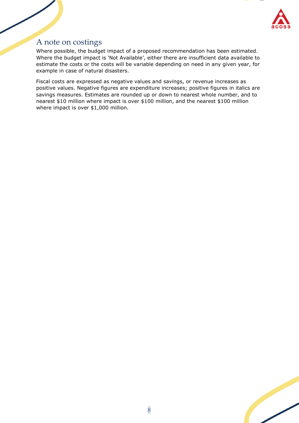

## <span id="page-8-0"></span>A note on costings

Where possible, the budget impact of a proposed recommendation has been estimated. Where the budget impact is 'Not Available', either there are insufficient data available to estimate the costs or the costs will be variable depending on need in any given year, for example in case of natural disasters.

Fiscal costs are expressed as negative values and savings, or revenue increases as positive values. Negative figures are expenditure increases; positive figures in italics are savings measures. Estimates are rounded up or down to nearest whole number, and to nearest \$10 million where impact is over \$100 million, and the nearest \$100 million where impact is over \$1,000 million.

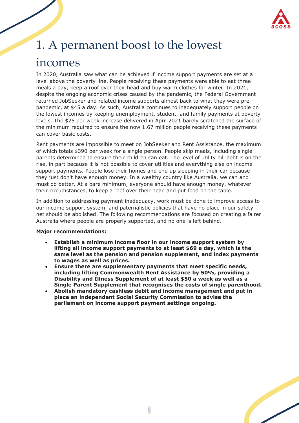

# <span id="page-9-0"></span>1. A permanent boost to the lowest

# incomes

In 2020, Australia saw what can be achieved if income support payments are set at a level above the poverty line. People receiving these payments were able to eat three meals a day, keep a roof over their head and buy warm clothes for winter. In 2021, despite the ongoing economic crises caused by the pandemic, the Federal Government returned JobSeeker and related income supports almost back to what they were prepandemic, at \$45 a day. As such, Australia continues to inadequately support people on the lowest incomes by keeping unemployment, student, and family payments at poverty levels. The \$25 per week increase delivered in April 2021 barely scratched the surface of the minimum required to ensure the now 1.67 million people receiving these payments can cover basic costs.

Rent payments are impossible to meet on JobSeeker and Rent Assistance, the maximum of which totals \$390 per week for a single person. People skip meals, including single parents determined to ensure their children can eat. The level of utility bill debt is on the rise, in part because it is not possible to cover utilities and everything else on income support payments. People lose their homes and end up sleeping in their car because they just don't have enough money. In a wealthy country like Australia, we can and must do better. At a bare minimum, everyone should have enough money, whatever their circumstances, to keep a roof over their head and put food on the table.

In addition to addressing payment inadequacy, work must be done to improve access to our income support system, and paternalistic policies that have no place in our safety net should be abolished. The following recommendations are focused on creating a fairer Australia where people are properly supported, and no one is left behind.

#### **Major recommendations:**

- **Establish a minimum income floor in our income support system by lifting all income support payments to at least \$69 a day, which is the same level as the pension and pension supplement, and index payments to wages as well as prices.**
- **Ensure there are supplementary payments that meet specific needs, including lifting Commonwealth Rent Assistance by 50%, providing a Disability and Illness Supplement of at least \$50 a week as well as a Single Parent Supplement that recognises the costs of single parenthood.**
- **Abolish mandatory cashless debit and income management and put in place an independent Social Security Commission to advise the parliament on income support payment settings ongoing.**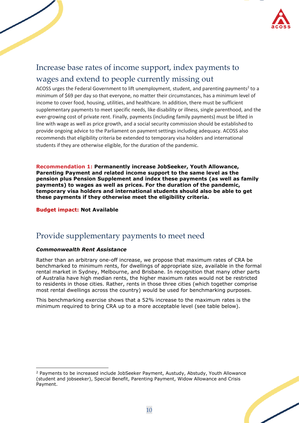

## <span id="page-10-0"></span>Increase base rates of income support, index payments to wages and extend to people currently missing out

ACOSS urges the Federal Government to lift unemployment, student, and parenting payments<sup>2</sup> to a minimum of \$69 per day so that everyone, no matter their circumstances, has a minimum level of income to cover food, housing, utilities, and healthcare. In addition, there must be sufficient supplementary payments to meet specific needs, like disability or illness, single parenthood, and the ever-growing cost of private rent. Finally, payments (including family payments) must be lifted in line with wage as well as price growth, and a social security commission should be established to provide ongoing advice to the Parliament on payment settings including adequacy. ACOSS also recommends that eligibility criteria be extended to temporary visa holders and international students if they are otherwise eligible, for the duration of the pandemic.

**Recommendation 1: Permanently increase JobSeeker, Youth Allowance, Parenting Payment and related income support to the same level as the pension plus Pension Supplement and index these payments (as well as family payments) to wages as well as prices. For the duration of the pandemic, temporary visa holders and international students should also be able to get these payments if they otherwise meet the eligibility criteria.**

**Budget impact: Not Available**

## <span id="page-10-1"></span>Provide supplementary payments to meet need

#### *Commonwealth Rent Assistance*

Rather than an arbitrary one-off increase, we propose that maximum rates of CRA be benchmarked to minimum rents, for dwellings of appropriate size, available in the formal rental market in Sydney, Melbourne, and Brisbane. In recognition that many other parts of Australia have high median rents, the higher maximum rates would not be restricted to residents in those cities. Rather, rents in those three cities (which together comprise most rental dwellings across the country) would be used for benchmarking purposes.

This benchmarking exercise shows that a 52% increase to the maximum rates is the minimum required to bring CRA up to a more acceptable level (see table below).

<sup>&</sup>lt;sup>2</sup> Payments to be increased include JobSeeker Payment, Austudy, Abstudy, Youth Allowance (student and jobseeker), Special Benefit, Parenting Payment, Widow Allowance and Crisis Payment.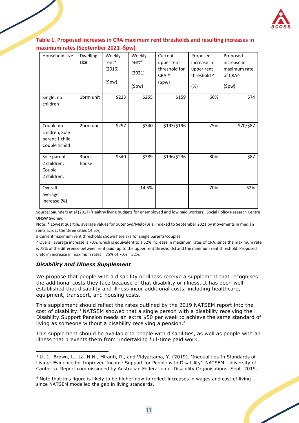

### **Table 1. Proposed increases in CRA maximum rent thresholds and resulting increases in maximum rates (September 2021 -\$pw)**

| Household size                                                  | <b>Dwelling</b><br>size | Weekly<br>rent*<br>(2016)<br>(5pw) | Weekly<br>rent*<br>(2021)<br>(5pw) | Current<br>upper rent<br>threshold for<br>CRA#<br>(5pw) | Proposed<br>increase in<br>upper rent<br>threshold ^<br>(%) | Proposed<br>increase in<br>maximum rate<br>of CRA^<br>(5pw) |
|-----------------------------------------------------------------|-------------------------|------------------------------------|------------------------------------|---------------------------------------------------------|-------------------------------------------------------------|-------------------------------------------------------------|
| Single, no<br>children                                          | 1brm unit               | \$223                              | \$255                              | \$159                                                   | 60%                                                         | \$74                                                        |
| Couple no<br>children, Sole<br>parent 1 child,<br>Couple 1child | 2brm unit               | \$297                              | \$340                              | \$193/\$196                                             | 75%                                                         | \$70/\$87                                                   |
| Sole parent<br>2 children,<br>Couple<br>2 children,             | 3brm<br>house           | \$340                              | \$389                              | \$196/\$236                                             | 80%                                                         | \$87                                                        |
| Overall<br>average<br>increase (%)                              |                         |                                    | 14.5%                              |                                                         | 70%                                                         | 52%                                                         |

Source: Saunders et al (2017) 'Healthy living budgets for unemployed and low paid workers', Social Policy Research Centre UNSW Sydney.

Note: \* Lowest quartile, average values for outer Syd/Melb/Bris. Indexed to September 2021 by movements in median rents across the three cities 14.5%).

# Current maximum rent thresholds shown here are for single parents/couples.

^ Overall average increase is 70%, which is equivalent to a 52% increase in maximum rates of CRA, since the maximum rate is 75% of the difference between rent paid (up to the upper rent thresholds) and the minimum rent threshold. Proposed uniform increase in maximum rates = 75% of 70% = 52%.

#### *Disability and Illness Supplement*

We propose that people with a disability or illness receive a supplement that recognises the additional costs they face because of that disability or illness. It has been wellestablished that disability and illness incur additional costs, including healthcare, equipment, transport, and housing costs.

This supplement should reflect the rates outlined by the 2019 NATSEM report into the cost of disability. <sup>3</sup> NATSEM showed that a single person with a disability receiving the Disability Support Pension needs an extra \$50 per week to achieve the same standard of living as someone without a disability receiving a pension.<sup>4</sup>

This supplement should be available to people with disabilities, as well as people with an illness that prevents them from undertaking full-time paid work.

<sup>4</sup> Note that this figure is likely to be higher now to reflect increases in wages and cost of living since NATSEM modelled the gap in living standards.



 $3$  Li, J., Brown, L., La. H.N., Miranti, R., and Vidyattama, Y. (2019). 'Inequalities In Standards of Living: Evidence for Improved Income Support for People with Disability'. NATSEM, University of Canberra. Report commissioned by Australian Federation of Disability Organisations. Sept. 2019.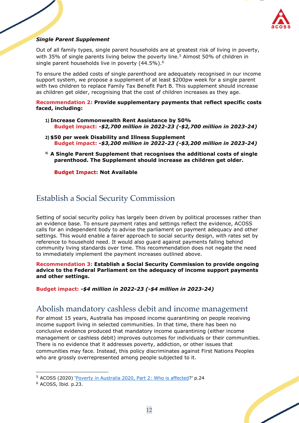

#### *Single Parent Supplement*

Out of all family types, single parent households are at greatest risk of living in poverty, with 35% of single parents living below the poverty line.<sup>5</sup> Almost 50% of children in single parent households live in poverty (44.5%).<sup>6</sup>

To ensure the added costs of single parenthood are adequately recognised in our income support system, we propose a supplement of at least \$200pw week for a single parent with two children to replace Family Tax Benefit Part B. This supplement should increase as children get older, recognising that the cost of children increases as they age.

#### **Recommendation 2: Provide supplementary payments that reflect specific costs faced, including:**

- **1) Increase Commonwealth Rent Assistance by 50% Budget impact: -***\$2,700 million in 2022-23 (***-***\$2,700 million in 2023-24)*
- **2) \$50 per week Disability and Illness Supplement Budget impact: -***\$3,200 million in 2022-23 (***-***\$3,200 million in 2023-24)*
- **3) A Single Parent Supplement that recognises the additional costs of single parenthood. The Supplement should increase as children get older.**

**Budget Impact: Not Available**

## <span id="page-12-0"></span>Establish a Social Security Commission

Setting of social security policy has largely been driven by political processes rather than an evidence base. To ensure payment rates and settings reflect the evidence, ACOSS calls for an independent body to advise the parliament on payment adequacy and other settings. This would enable a fairer approach to social security design, with rates set by reference to household need. It would also guard against payments falling behind community living standards over time. This recommendation does not negate the need to immediately implement the payment increases outlined above.

**Recommendation 3: Establish a Social Security Commission to provide ongoing advice to the Federal Parliament on the adequacy of income support payments and other settings.** 

**Budget impact: -***\$4 million in 2022-23 (***-***\$4 million in 2023-24)*

## <span id="page-12-1"></span>Abolish mandatory cashless debit and income management

For almost 15 years, Australia has imposed income quarantining on people receiving income support living in selected communities. In that time, there has been no conclusive evidence produced that mandatory income quarantining (either income management or cashless debit) improves outcomes for individuals or their communities. There is no evidence that it addresses poverty, addiction, or other issues that communities may face. Instead, this policy discriminates against First Nations Peoples who are grossly overrepresented among people subjected to it.



<sup>5</sup> ACOSS (2020) '[Poverty in Australia 2020, Part 2: Who is affected](https://povertyandinequality.acoss.org.au/wp-content/uploads/2020/05/Poverty-in-Australia-2020-Part-2-%E2%80%93-Who-is-affected_Final.pdf)?' p.24

 $6$  ACOSS, Ibid. p.23.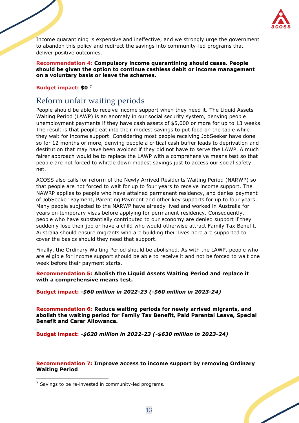

Income quarantining is expensive and ineffective, and we strongly urge the government to abandon this policy and redirect the savings into community-led programs that deliver positive outcomes.

**Recommendation 4: Compulsory income quarantining should cease. People should be given the option to continue cashless debit or income management on a voluntary basis or leave the schemes.**

#### **Budget impact: \$0** <sup>7</sup>

## <span id="page-13-0"></span>Reform unfair waiting periods

People should be able to receive income support when they need it. The Liquid Assets Waiting Period (LAWP) is an anomaly in our social security system, denying people unemployment payments if they have cash assets of \$5,000 or more for up to 13 weeks. The result is that people eat into their modest savings to put food on the table while they wait for income support. Considering most people receiving JobSeeker have done so for 12 months or more, denying people a critical cash buffer leads to deprivation and destitution that may have been avoided if they did not have to serve the LAWP. A much fairer approach would be to replace the LAWP with a comprehensive means test so that people are not forced to whittle down modest savings just to access our social safety net.

ACOSS also calls for reform of the Newly Arrived Residents Waiting Period (NARWP) so that people are not forced to wait for up to four years to receive income support. The NAWRP applies to people who have attained permanent residency, and denies payment of JobSeeker Payment, Parenting Payment and other key supports for up to four years. Many people subjected to the NARWP have already lived and worked in Australia for years on temporary visas before applying for permanent residency. Consequently, people who have substantially contributed to our economy are denied support if they suddenly lose their job or have a child who would otherwise attract Family Tax Benefit. Australia should ensure migrants who are building their lives here are supported to cover the basics should they need that support.

Finally, the Ordinary Waiting Period should be abolished. As with the LAWP, people who are eligible for income support should be able to receive it and not be forced to wait one week before their payment starts.

#### **Recommendation 5: Abolish the Liquid Assets Waiting Period and replace it with a comprehensive means test.**

#### **Budget impact: -***\$60 million in 2022-23 (-\$60 million in 2023-24)*

**Recommendation 6: Reduce waiting periods for newly arrived migrants, and abolish the waiting period for Family Tax Benefit, Paid Parental Leave, Special Benefit and Carer Allowance.**

**Budget impact:** *-\$620 million in 2022-23 (-\$630 million in 2023-24)*

#### **Recommendation 7: Improve access to income support by removing Ordinary Waiting Period**

 $<sup>7</sup>$  Savings to be re-invested in community-led programs.</sup>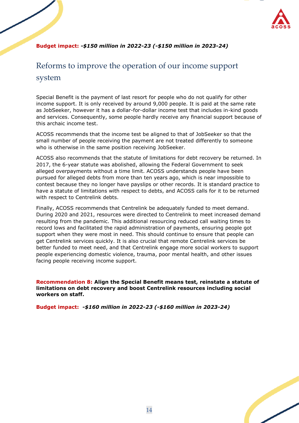

### **Budget impact:** *-\$150 million in 2022-23 (-\$150 million in 2023-24)*

## <span id="page-14-0"></span>Reforms to improve the operation of our income support system

Special Benefit is the payment of last resort for people who do not qualify for other income support. It is only received by around 9,000 people. It is paid at the same rate as JobSeeker, however it has a dollar-for-dollar income test that includes in-kind goods and services. Consequently, some people hardly receive any financial support because of this archaic income test.

ACOSS recommends that the income test be aligned to that of JobSeeker so that the small number of people receiving the payment are not treated differently to someone who is otherwise in the same position receiving JobSeeker.

ACOSS also recommends that the statute of limitations for debt recovery be returned. In 2017, the 6-year statute was abolished, allowing the Federal Government to seek alleged overpayments without a time limit. ACOSS understands people have been pursued for alleged debts from more than ten years ago, which is near impossible to contest because they no longer have payslips or other records. It is standard practice to have a statute of limitations with respect to debts, and ACOSS calls for it to be returned with respect to Centrelink debts.

Finally, ACOSS recommends that Centrelink be adequately funded to meet demand. During 2020 and 2021, resources were directed to Centrelink to meet increased demand resulting from the pandemic. This additional resourcing reduced call waiting times to record lows and facilitated the rapid administration of payments, ensuring people got support when they were most in need. This should continue to ensure that people can get Centrelink services quickly. It is also crucial that remote Centrelink services be better funded to meet need, and that Centrelink engage more social workers to support people experiencing domestic violence, trauma, poor mental health, and other issues facing people receiving income support.

**Recommendation 8: Align the Special Benefit means test, reinstate a statute of limitations on debt recovery and boost Centrelink resources including social workers on staff.** 

**Budget impact:** *-\$160 million in 2022-23 (-\$160 million in 2023-24)* 

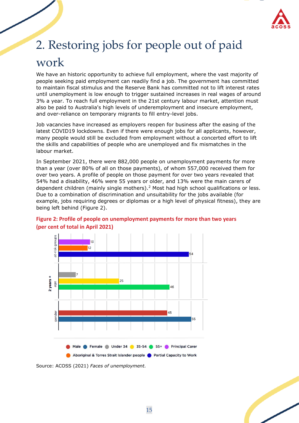

# <span id="page-15-0"></span>2. Restoring jobs for people out of paid work

We have an historic opportunity to achieve full employment, where the vast majority of people seeking paid employment can readily find a job. The government has committed to maintain fiscal stimulus and the Reserve Bank has committed not to lift interest rates until unemployment is low enough to trigger sustained increases in real wages of around 3% a year. To reach full employment in the 21st century labour market, attention must also be paid to Australia's high levels of underemployment and insecure employment, and over-reliance on temporary migrants to fill entry-level jobs.

Job vacancies have increased as employers reopen for business after the easing of the latest COVID19 lockdowns. Even if there were enough jobs for all applicants, however, many people would still be excluded from employment without a concerted effort to lift the skills and capabilities of people who are unemployed and fix mismatches in the labour market.

In September 2021, there were 882,000 people on unemployment payments for more than a year (over 80% of all on those payments), of whom 557,000 received them for over two years. A profile of people on those payment for over two years revealed that 54% had a disability, 46% were 55 years or older, and 13% were the main carers of dependent children (mainly single mothers).<sup>2</sup> Most had high school qualifications or less. Due to a combination of discrimination and unsuitability for the jobs available (for example, jobs requiring degrees or diplomas or a high level of physical fitness), they are being left behind (Figure 2).



### **Figure 2: Profile of people on unemployment payments for more than two years (per cent of total in April 2021)**

Source: ACOSS (2021) *Faces of unemployment.*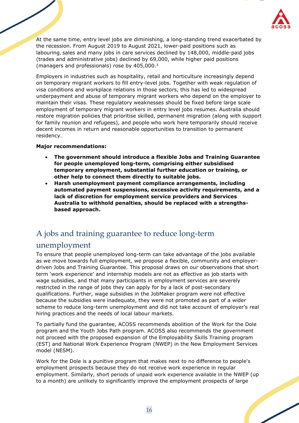

At the same time, entry level jobs are diminishing, a long-standing trend exacerbated by the recession. From August 2019 to August 2021, lower-paid positions such as labouring, sales and many jobs in care services declined by 148,000, middle-paid jobs (trades and administrative jobs) declined by 69,000, while higher paid positions (managers and professionals) rose by 405,000.<sup>3</sup>

Employers in industries such as hospitality, retail and horticulture increasingly depend on temporary migrant workers to fill entry-level jobs. Together with weak regulation of visa conditions and workplace relations in those sectors, this has led to widespread underpayment and abuse of temporary migrant workers who depend on the employer to maintain their visas. These regulatory weaknesses should be fixed before large scale employment of temporary migrant workers in entry level jobs resumes. Australia should restore migration policies that prioritise skilled, permanent migration (along with support for family reunion and refugees), and people who work here temporarily should receive decent incomes in return and reasonable opportunities to transition to permanent residency.

#### **Major recommendations:**

- **The government should introduce a flexible Jobs and Training Guarantee for people unemployed long-term, comprising either subsidised temporary employment, substantial further education or training, or other help to connect them directly to suitable jobs.**
- **Harsh unemployment payment compliance arrangements, including automated payment suspensions, excessive activity requirements, and a lack of discretion for employment service providers and Services Australia to withhold penalties, should be replaced with a strengthsbased approach.**

## <span id="page-16-0"></span>A jobs and training guarantee to reduce long-term

### unemployment

To ensure that people unemployed long-term can take advantage of the jobs available as we move towards full employment, we propose a flexible, community and employerdriven Jobs and Training Guarantee. This proposal draws on our observations that short term 'work experience' and internship models are not as effective as job starts with wage subsidies, and that many participants in employment services are severely restricted in the range of jobs they can apply for by a lack of post-secondary qualifications. Further, wage subsidies in the JobMaker program were not effective because the subsidies were inadequate, they were not promoted as part of a wider scheme to reduce long-term unemployment and did not take account of employer's real hiring practices and the needs of local labour markets.

To partially fund the guarantee, ACOSS recommends abolition of the Work for the Dole program and the Youth Jobs Path program. ACOSS also recommends the government not proceed with the proposed expansion of the Employability Skills Training program (EST) and National Work Experience Program (NWEP) in the New Employment Services model (NESM).

Work for the Dole is a punitive program that makes next to no difference to people's employment prospects because they do not receive work experience in regular employment. Similarly, short periods of unpaid work experience available in the NWEP (up to a month) are unlikely to significantly improve the employment prospects of large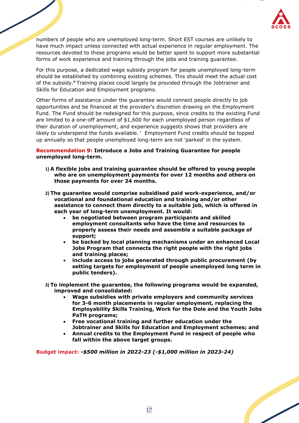

numbers of people who are unemployed long-term. Short EST courses are unlikely to have much impact unless connected with actual experience in regular employment. The resources devoted to these programs would be better spent to support more substantial forms of work experience and training through the jobs and training guarantee.

For this purpose, a dedicated wage subsidy program for people unemployed long-term should be established by combining existing schemes. This should meet the actual cost of the subsidy.<sup>8</sup> Training places could largely be provided through the Jobtrainer and Skills for Education and Employment programs.

Other forms of assistance under the guarantee would connect people directly to job opportunities and be financed at the provider's discretion drawing on the Employment Fund. The Fund should be redesigned for this purpose, since credits to the existing Fund are limited to a one-off amount of \$1,600 for each unemployed person regardless of their duration of unemployment, and experience suggests shows that providers are likely to underspend the funds available.<sup>7</sup> Employment Fund credits should be topped up annually so that people unemployed long-term are not 'parked' in the system.

#### **Recommendation 9: Introduce a Jobs and Training Guarantee for people unemployed long-term.**

- **1) A flexible jobs and training guarantee should be offered to young people who are on unemployment payments for over 12 months and others on those payments for over 24 months.**
- **2) The guarantee would comprise subsidised paid work-experience, and/or vocational and foundational education and training and/or other assistance to connect them directly to a suitable job, which is offered in each year of long-term unemployment. It would:**
	- **be negotiated between program participants and skilled employment consultants who have the time and resources to properly assess their needs and assemble a suitable package of support;**
	- **be backed by local planning mechanisms under an enhanced Local Jobs Program that connects the right people with the right jobs and training places;**
	- **include access to jobs generated through public procurement (by setting targets for employment of people unemployed long term in public tenders).**
- **3) To implement the guarantee, the following programs would be expanded, improved and consolidated:**
	- **Wage subsidies with private employers and community services for 3-6 month placements in regular employment, replacing the Employability Skills Training, Work for the Dole and the Youth Jobs PaTH programs;**
	- **Free vocational training and further education under the Jobtrainer and Skills for Education and Employment schemes; and**
	- **Annual credits to the Employment Fund in respect of people who fall within the above target groups.**

**Budget impact: -***\$500 million in 2022-23 (-\$1,000 million in 2023-24)*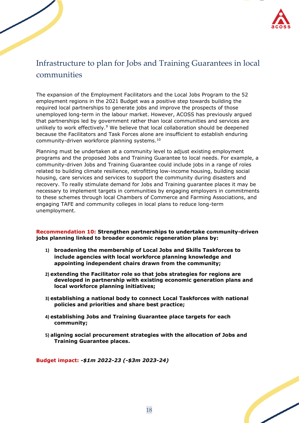

## <span id="page-18-0"></span>Infrastructure to plan for Jobs and Training Guarantees in local communities

The expansion of the Employment Facilitators and the Local Jobs Program to the 52 employment regions in the 2021 Budget was a positive step towards building the required local partnerships to generate jobs and improve the prospects of those unemployed long-term in the labour market. However, ACOSS has previously argued that partnerships led by government rather than local communities and services are unlikely to work effectively.<sup>9</sup> We believe that local collaboration should be deepened because the Facilitators and Task Forces alone are insufficient to establish enduring community-driven workforce planning systems.<sup>10</sup>

Planning must be undertaken at a community level to adjust existing employment programs and the proposed Jobs and Training Guarantee to local needs. For example, a community-driven Jobs and Training Guarantee could include jobs in a range of roles related to building climate resilience, retrofitting low-income housing, building social housing, care services and services to support the community during disasters and recovery. To really stimulate demand for Jobs and Training guarantee places it may be necessary to implement targets in communities by engaging employers in commitments to these schemes through local Chambers of Commerce and Farming Associations, and engaging TAFE and community colleges in local plans to reduce long-term unemployment.

**Recommendation 10: Strengthen partnerships to undertake community-driven jobs planning linked to broader economic regeneration plans by:**

- **1) broadening the membership of Local Jobs and Skills Taskforces to include agencies with local workforce planning knowledge and appointing independent chairs drawn from the community;**
- **2) extending the Facilitator role so that jobs strategies for regions are developed in partnership with existing economic generation plans and local workforce planning initiatives;**
- **3) establishing a national body to connect Local Taskforces with national policies and priorities and share best practice;**
- **4) establishing Jobs and Training Guarantee place targets for each community;**
- **5) aligning social procurement strategies with the allocation of Jobs and Training Guarantee places.**

**Budget impact:** *-\$1m 2022-23 (-\$3m 2023-24)* 

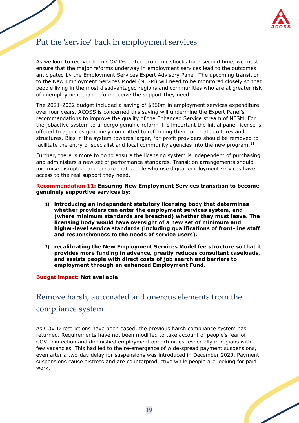

## <span id="page-19-0"></span>Put the 'service' back in employment services

As we look to recover from COVID-related economic shocks for a second time, we must ensure that the major reforms underway in employment services lead to the outcomes anticipated by the Employment Services Expert Advisory Panel. The upcoming transition to the New Employment Services Model (NESM) will need to be monitored closely so that people living in the most disadvantaged regions and communities who are at greater risk of unemployment than before receive the support they need.

The 2021-2022 budget included a saving of \$860m in employment services expenditure over four years. ACOSS is concerned this saving will undermine the Expert Panel's recommendations to improve the quality of the Enhanced Service stream of NESM. For the jobactive system to undergo genuine reform it is important the initial panel license is offered to agencies genuinely committed to reforming their corporate cultures and structures. Bias in the system towards larger, for-profit providers should be removed to facilitate the entry of specialist and local community agencies into the new program.<sup>11</sup>

Further, there is more to do to ensure the licensing system is independent of purchasing and administers a new set of performance standards. Transition arrangements should minimise disruption and ensure that people who use digital employment services have access to the real support they need.

**Recommendation 11: Ensuring New Employment Services transition to become genuinely supportive services by:**

- **1) introducing an independent statutory licensing body that determines whether providers can enter the employment services system, and (where minimum standards are breached) whether they must leave. The licensing body would have oversight of a new set of minimum and higher-level service standards (including qualifications of front-line staff and responsiveness to the needs of service users).**
- **2) recalibrating the New Employment Services Model fee structure so that it provides more funding in advance, greatly reduces consultant caseloads, and assists people with direct costs of job search and barriers to employment through an enhanced Employment Fund.**

#### **Budget impact: Not available**

## <span id="page-19-1"></span>Remove harsh, automated and onerous elements from the compliance system

As COVID restrictions have been eased, the previous harsh compliance system has returned. Requirements have not been modified to take account of people's fear of COVID infection and diminished employment opportunities, especially in regions with few vacancies. This had led to the re-emergence of wide-spread payment suspensions, even after a two-day delay for suspensions was introduced in December 2020. Payment suspensions cause distress and are counterproductive while people are looking for paid work.

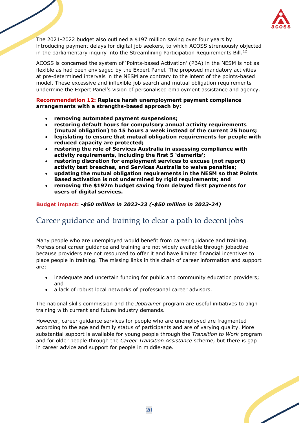

The 2021-2022 budget also outlined a \$197 million saving over four years by introducing payment delays for digital job seekers, to which ACOSS strenuously objected in the parliamentary inquiry into the Streamlining Participation Requirements Bill.<sup>12</sup>

ACOSS is concerned the system of 'Points-based Activation' (PBA) in the NESM is not as flexible as had been envisaged by the Expert Panel. The proposed mandatory activities at pre-determined intervals in the NESM are contrary to the intent of the points-based model. These excessive and inflexible job search and mutual obligation requirements undermine the Expert Panel's vision of personalised employment assistance and agency.

#### **Recommendation 12: Replace harsh unemployment payment compliance arrangements with a strengths-based approach by:**

- **removing automated payment suspensions;**
- **restoring default hours for compulsory annual activity requirements (mutual obligation) to 15 hours a week instead of the current 25 hours;**
- **legislating to ensure that mutual obligation requirements for people with reduced capacity are protected;**
- **restoring the role of Services Australia in assessing compliance with activity requirements, including the first 5 'demerits';**
- **restoring discretion for employment services to excuse (not report) activity test breaches, and Services Australia to waive penalties;**
- **updating the mutual obligation requirements in the NESM so that Points Based activation is not undermined by rigid requirements; and**
- **removing the \$197m budget saving from delayed first payments for users of digital services.**

### **Budget impact:** *-\$50 million in 2022-23 (-\$50 million in 2023-24)*

## <span id="page-20-0"></span>Career guidance and training to clear a path to decent jobs

Many people who are unemployed would benefit from career guidance and training. Professional career guidance and training are not widely available through jobactive because providers are not resourced to offer it and have limited financial incentives to place people in training. The missing links in this chain of career information and support are:

- inadequate and uncertain funding for public and community education providers; and
- a lack of robust local networks of professional career advisors.

The national skills commission and the *Jobtrainer* program are useful initiatives to align training with current and future industry demands.

However, career guidance services for people who are unemployed are fragmented according to the age and family status of participants and are of varying quality. More substantial support is available for young people through the *Transition to Work* program and for older people through the *Career Transition Assistance* scheme, but there is gap in career advice and support for people in middle-age.

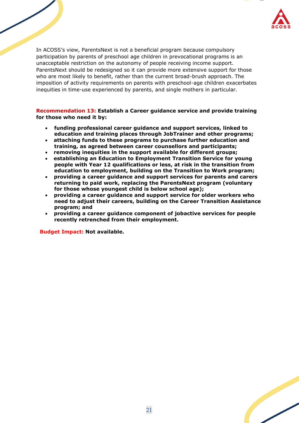

In ACOSS's view, ParentsNext is not a beneficial program because compulsory participation by parents of preschool age children in prevocational programs is an unacceptable restriction on the autonomy of people receiving income support. ParentsNext should be redesigned so it can provide more extensive support for those who are most likely to benefit, rather than the current broad-brush approach. The imposition of activity requirements on parents with preschool-age children exacerbates inequities in time-use experienced by parents, and single mothers in particular.

**Recommendation 13: Establish a Career guidance service and provide training for those who need it by:**

- **funding professional career guidance and support services, linked to education and training places through JobTrainer and other programs;**
- • **attaching funds to these programs to purchase further education and training, as agreed between career counsellors and participants;**
- • **removing inequities in the support available for different groups;**
- • **establishing an Education to Employment Transition Service for young people with Year 12 qualifications or less, at risk in the transition from education to employment, building on the Transition to Work program;**
- **providing a career guidance and support services for parents and carers returning to paid work, replacing the ParentsNext program (voluntary for those whose youngest child is below school age);**
- **providing a career guidance and support service for older workers who need to adjust their careers, building on the Career Transition Assistance program; and**
- **providing a career guidance component of jobactive services for people recently retrenched from their employment.**

**Budget Impact: Not available.**

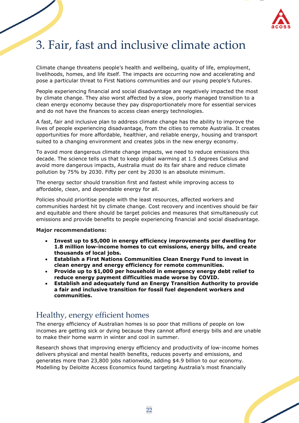

# <span id="page-22-0"></span>3. Fair, fast and inclusive climate action

Climate change threatens people's health and wellbeing, quality of life, employment, livelihoods, homes, and life itself. The impacts are occurring now and accelerating and pose a particular threat to First Nations communities and our young people's futures.

People experiencing financial and social disadvantage are negatively impacted the most by climate change. They also worst affected by a slow, poorly managed transition to a clean energy economy because they pay disproportionately more for essential services and do not have the finances to access clean energy technologies.

A fast, fair and inclusive plan to address climate change has the ability to improve the lives of people experiencing disadvantage, from the cities to remote Australia. It creates opportunities for more affordable, healthier, and reliable energy, housing and transport suited to a changing environment and creates jobs in the new energy economy.

To avoid more dangerous climate change impacts, we need to reduce emissions this decade. The science tells us that to keep global warming at 1.5 degrees Celsius and avoid more dangerous impacts, Australia must do its fair share and reduce climate pollution by 75% by 2030. Fifty per cent by 2030 is an absolute minimum.

The energy sector should transition first and fastest while improving access to affordable, clean, and dependable energy for all.

Policies should prioritise people with the least resources, affected workers and communities hardest hit by climate change. Cost recovery and incentives should be fair and equitable and there should be target policies and measures that simultaneously cut emissions and provide benefits to people experiencing financial and social disadvantage.

#### **Major recommendations:**

- **Invest up to \$5,000 in energy efficiency improvements per dwelling for 1.8 million low-income homes to cut emissions, energy bills, and create thousands of local jobs.**
- **Establish a First Nations Communities Clean Energy Fund to invest in clean energy and energy efficiency for remote communities.**
- **Provide up to \$1,000 per household in emergency energy debt relief to reduce energy payment difficulties made worse by COVID.**
- **Establish and adequately fund an Energy Transition Authority to provide a fair and inclusive transition for fossil fuel dependent workers and communities.**

## <span id="page-22-1"></span>Healthy, energy efficient homes

The energy efficiency of Australian homes is so poor that millions of people on low incomes are getting sick or dying because they cannot afford energy bills and are unable to make their home warm in winter and cool in summer.

Research shows that improving energy efficiency and productivity of low-income homes delivers physical and mental health benefits, reduces poverty and emissions, and generates more than 23,800 jobs nationwide, adding \$4.9 billion to our economy. Modelling by Deloitte Access Economics found targeting Australia's most financially

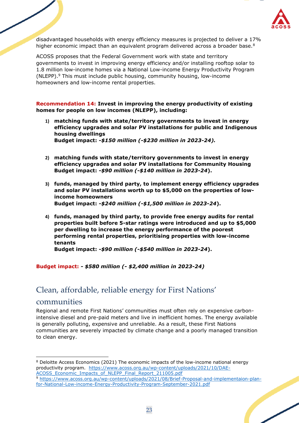

disadvantaged households with energy efficiency measures is projected to deliver a 17% higher economic impact than an equivalent program delivered across a broader base. $8$ 

ACOSS proposes that the Federal Government work with state and territory governments to invest in improving energy efficiency and/or installing rooftop solar to 1.8 million low-income homes via a National Low-income Energy Productivity Program (NLEPP).<sup>9</sup> This must include public housing, community housing, low-income homeowners and low-income rental properties.

**Recommendation 14: Invest in improving the energy productivity of existing homes for people on low incomes (NLEPP), including:** 

- **1) matching funds with state/territory governments to invest in energy efficiency upgrades and solar PV installations for public and Indigenous housing dwellings Budget impact:** *-\$150 million (-\$230 million in 2023-24).*
- **2) matching funds with state/territory governments to invest in energy efficiency upgrades and solar PV installations for Community Housing Budget impact:** *-\$90 million (-\$140 million in 2023-24***).**
- **3) funds, managed by third party, to implement energy efficiency upgrades and solar PV installations worth up to \$5,000 on the properties of lowincome homeowners Budget impact:** *-\$240 million (-\$1,500 million in 2023-24***).**
- **4) funds, managed by third party, to provide free energy audits for rental properties built before 5-star ratings were introduced and up to \$5,000 per dwelling to increase the energy performance of the poorest performing rental properties, prioritising properties with low-income tenants**

**Budget impact:** *-\$90 million (-\$540 million in 2023-24***).**

#### **Budget impact:** *- \$580 million (- \$2,400 million in 2023-24)*

## <span id="page-23-0"></span>Clean, affordable, reliable energy for First Nations'

### communities

Regional and remote First Nations' communities must often rely on expensive carbonintensive diesel and pre-paid meters and live in inefficient homes. The energy available is generally polluting, expensive and unreliable. As a result, these First Nations communities are severely impacted by climate change and a poorly managed transition to clean energy.

<sup>8</sup> Deloitte Access Economics (2021) The economic impacts of the low-income national energy productivity program. [https://www.acoss.org.au/wp-content/uploads/2021/10/DAE-](https://www.acoss.org.au/wp-content/uploads/2021/10/DAE-ACOSS_Economic_Impacts_of_NLEPP_Final_Report_211005.pdf)ACOSS Economic Impacts of NLEPP Final Report 211005.pdf

<sup>9</sup> [https://www.acoss.org.au/wp-content/uploads/2021/08/Brief-Proposal-and-implementaion-plan](https://www.acoss.org.au/wp-content/uploads/2021/08/Brief-Proposal-and-implementaion-plan-for-National-Low-income-Energy-Productivity-Program-September-2021.pdf)[for-National-Low-income-Energy-Productivity-Program-September-2021.pdf](https://www.acoss.org.au/wp-content/uploads/2021/08/Brief-Proposal-and-implementaion-plan-for-National-Low-income-Energy-Productivity-Program-September-2021.pdf)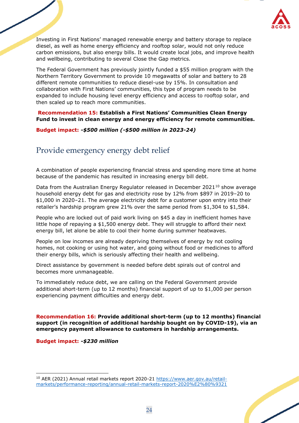

Investing in First Nations' managed renewable energy and battery storage to replace diesel, as well as home energy efficiency and rooftop solar, would not only reduce carbon emissions, but also energy bills. It would create local jobs, and improve health and wellbeing, contributing to several Close the Gap metrics.

The Federal Government has previously jointly funded a \$55 million program with the Northern Territory Government to provide 10 megawatts of solar and battery to 28 different remote communities to reduce diesel-use by 15%. In consultation and collaboration with First Nations' communities, this type of program needs to be expanded to include housing level energy efficiency and access to rooftop solar, and then scaled up to reach more communities.

**Recommendation 15: Establish a First Nations' Communities Clean Energy Fund to invest in clean energy and energy efficiency for remote communities.**

#### **Budget impact:** *-\$500 million (-\$500 million in 2023-24)*

## <span id="page-24-0"></span>Provide emergency energy debt relief

A combination of people experiencing financial stress and spending more time at home because of the pandemic has resulted in increasing energy bill debt.

Data from the Australian Energy Regulator released in December 2021<sup>10</sup> show average household energy debt for gas and electricity rose by 12% from \$897 in 2019–20 to \$1,000 in 2020–21. The average electricity debt for a customer upon entry into their retailer's hardship program grew 21% over the same period from \$1,304 to \$1,584.

People who are locked out of paid work living on \$45 a day in inefficient homes have little hope of repaying a \$1,500 energy debt. They will struggle to afford their next energy bill, let alone be able to cool their home during summer heatwaves.

People on low incomes are already depriving themselves of energy by not cooling homes, not cooking or using hot water, and going without food or medicines to afford their energy bills, which is seriously affecting their health and wellbeing.

Direct assistance by government is needed before debt spirals out of control and becomes more unmanageable.

To immediately reduce debt, we are calling on the Federal Government provide additional short-term (up to 12 months) financial support of up to \$1,000 per person experiencing payment difficulties and energy debt.

**Recommendation 16: Provide additional short-term (up to 12 months) financial support (in recognition of additional hardship bought on by COVID-19), via an emergency payment allowance to customers in hardship arrangements.** 

**Budget impact:** *-\$230 million* 

<sup>10</sup> AER (2021) Annual retail markets report 2020-21 [https://www.aer.gov.au/retail](https://www.aer.gov.au/retail-markets/performance-reporting/annual-retail-markets-report-2020%E2%80%9321)[markets/performance-reporting/annual-retail-markets-report-2020%E2%80%9321](https://www.aer.gov.au/retail-markets/performance-reporting/annual-retail-markets-report-2020%E2%80%9321)

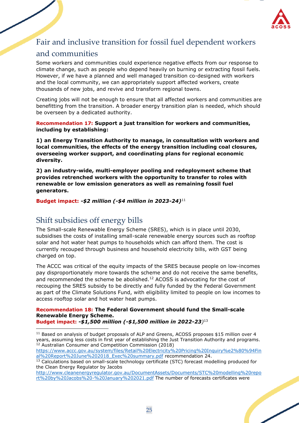

## <span id="page-25-0"></span>Fair and inclusive transition for fossil fuel dependent workers

## and communities

Some workers and communities could experience negative effects from our response to climate change, such as people who depend heavily on burning or extracting fossil fuels. However, if we have a planned and well managed transition co-designed with workers and the local community, we can appropriately support affected workers, create thousands of new jobs, and revive and transform regional towns.

Creating jobs will not be enough to ensure that all affected workers and communities are benefitting from the transition. A broader energy transition plan is needed, which should be overseen by a dedicated authority.

**Recommendation 17: Support a just transition for workers and communities, including by establishing:**

**1) an Energy Transition Authority to manage, in consultation with workers and local communities, the effects of the energy transition including coal closures, overseeing worker support, and coordinating plans for regional economic diversity.**

**2) an industry-wide, multi-employer pooling and redeployment scheme that provides retrenched workers with the opportunity to transfer to roles with renewable or low emission generators as well as remaining fossil fuel generators.**

**Budget impact:** *-\$2 million (-\$4 million in 2023-24)*<sup>11</sup>

## <span id="page-25-1"></span>Shift subsidies off energy bills

The Small-scale Renewable Energy Scheme (SRES), which is in place until 2030, subsidises the costs of installing small-scale renewable energy sources such as rooftop solar and hot water heat pumps to households which can afford them. The cost is currently recouped through business and household electricity bills, with GST being charged on top.

The ACCC was critical of the equity impacts of the SRES because people on low-incomes pay disproportionately more towards the scheme and do not receive the same benefits, and recommended the scheme be abolished.<sup>12</sup> ACOSS is advocating for the cost of recouping the SRES subsidy to be directly and fully funded by the Federal Government as part of the Climate Solutions Fund, with eligibility limited to people on low incomes to access rooftop solar and hot water heat pumps.

### **Recommendation 18: The Federal Government should fund the Small-scale Renewable Energy Scheme.**

**Budget impact:** *-\$1,500 million (-\$1,500 million in 2022-23)* 13

<sup>11</sup> Based on analysis of budget proposals of ALP and Greens, ACOSS proposes \$15 million over 4 years, assuming less costs in first year of establishing the Just Transition Authority and programs. <sup>12</sup> Australian Consumer and Competition Commission (2018)

[https://www.accc.gov.au/system/files/Retail%20Electricity%20Pricing%20Inquiry%e2%80%94Fin](https://www.accc.gov.au/system/files/Retail%20Electricity%20Pricing%20Inquiry%e2%80%94Final%20Report%20June%202018_Exec%20summary.pdf) [al%20Report%20June%202018\\_Exec%20summary.pdf](https://www.accc.gov.au/system/files/Retail%20Electricity%20Pricing%20Inquiry%e2%80%94Final%20Report%20June%202018_Exec%20summary.pdf) recommendation 24.

[http://www.cleanenergyregulator.gov.au/DocumentAssets/Documents/STC%20modelling%20repo](http://www.cleanenergyregulator.gov.au/DocumentAssets/Documents/STC%20modelling%20report%20by%20Jacobs%20-%20January%202021.pdf) [rt%20by%20Jacobs%20-%20January%202021.pdf](http://www.cleanenergyregulator.gov.au/DocumentAssets/Documents/STC%20modelling%20report%20by%20Jacobs%20-%20January%202021.pdf) The number of forecasts certificates were

<sup>&</sup>lt;sup>13</sup> Calculations based on small-scale technology certificate (STC) forecast modelling produced for the Clean Energy Regulator by Jacobs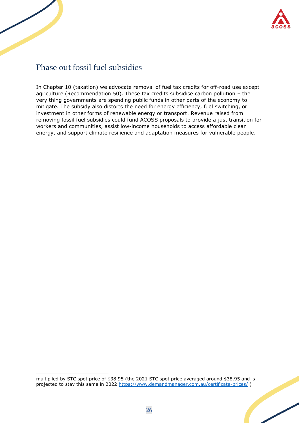

## <span id="page-26-0"></span>Phase out fossil fuel subsidies

In Chapter 10 (taxation) we advocate removal of fuel tax credits for off-road use except agriculture (Recommendation 50). These tax credits subsidise carbon pollution – the very thing governments are spending public funds in other parts of the economy to mitigate. The subsidy also distorts the need for energy efficiency, fuel switching, or investment in other forms of renewable energy or transport. Revenue raised from removing fossil fuel subsidies could fund ACOSS proposals to provide a just transition for workers and communities, assist low-income households to access affordable clean energy, and support climate resilience and adaptation measures for vulnerable people.

multiplied by STC spot price of \$38.95 (the 2021 STC spot price averaged around \$38.95 and is projected to stay this same in 2022<https://www.demandmanager.com.au/certificate-prices/>)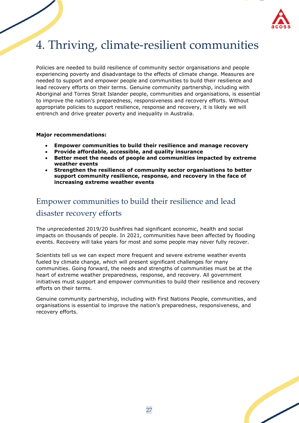

# <span id="page-27-0"></span>4. Thriving, climate-resilient communities

Policies are needed to build resilience of community sector organisations and people experiencing poverty and disadvantage to the effects of climate change. Measures are needed to support and empower people and communities to build their resilience and lead recovery efforts on their terms. Genuine community partnership, including with Aboriginal and Torres Strait Islander people, communities and organisations, is essential to improve the nation's preparedness, responsiveness and recovery efforts. Without appropriate policies to support resilience, response and recovery, it is likely we will entrench and drive greater poverty and inequality in Australia.

#### **Major recommendations:**

- **Empower communities to build their resilience and manage recovery**
- **Provide affordable, accessible, and quality insurance**
- **Better meet the needs of people and communities impacted by extreme weather events**
- **Strengthen the resilience of community sector organisations to better support community resilience, response, and recovery in the face of increasing extreme weather events**

## <span id="page-27-1"></span>Empower communities to build their resilience and lead disaster recovery efforts

The unprecedented 2019/20 bushfires had significant economic, health and social impacts on thousands of people. In 2021, communities have been affected by flooding events. Recovery will take years for most and some people may never fully recover.

Scientists tell us we can expect more frequent and severe extreme weather events fueled by climate change, which will present significant challenges for many communities. Going forward, the needs and strengths of communities must be at the heart of extreme weather preparedness, response, and recovery. All government initiatives must support and empower communities to build their resilience and recovery efforts on their terms.

Genuine community partnership, including with First Nations People, communities, and organisations is essential to improve the nation's preparedness, responsiveness, and recovery efforts.

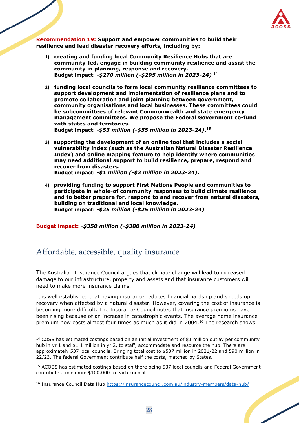

**Recommendation 19: Support and empower communities to build their resilience and lead disaster recovery efforts, including by:**

- **1) creating and funding local Community Resilience Hubs that are community-led, engage in building community resilience and assist the community in planning, response and recovery. Budget impact:** *-\$270 million (-\$295 million in 2023-24)* <sup>14</sup>
- **2) funding local councils to form local community resilience committees to support development and implementation of resilience plans and to promote collaboration and joint planning between government, community organisations and local businesses. These committees could be subcommittees of relevant Commonwealth and state emergency management committees. We propose the Federal Government co-fund with states and territories. Budget impact:** *-\$53 million (-\$55 million in 2023-24)***. 15**
- **3) supporting the development of an online tool that includes a social vulnerability index (such as the Australian Natural Disaster Resilience Index) and online mapping feature to help identify where communities may need additional support to build resilience, prepare, respond and recover from disasters. Budget impact:** *-\$1 million (-\$2 million in 2023-24)***.**
- **4) providing funding to support First Nations People and communities to participate in whole-of community responses to build climate resilience and to better prepare for, respond to and recover from natural disasters, building on traditional and local knowledge. Budget impact:** *-\$25 million (-\$25 million in 2023-24)*

**Budget impact:** *-\$350 million (-\$380 million in 2023-24)*

## <span id="page-28-0"></span>Affordable, accessible, quality insurance

The Australian Insurance Council argues that climate change will lead to increased damage to our infrastructure, property and assets and that insurance customers will need to make more insurance claims.

It is well established that having insurance reduces financial hardship and speeds up recovery when affected by a natural disaster. However, covering the cost of insurance is becoming more difficult. The Insurance Council notes that insurance premiums have been rising because of an increase in catastrophic events. The average home insurance premium now costs almost four times as much as it did in 2004.<sup>16</sup> The research shows

<sup>&</sup>lt;sup>14</sup> COSS has estimated costings based on an initial investment of \$1 million outlay per community hub in yr 1 and \$1.1 million in yr 2, to staff, accommodate and resource the hub. There are approximately 537 local councils. Bringing total cost to \$537 million in 2021/22 and 590 million in 22/23. The federal Government contribute half the costs, matched by States.

<sup>&</sup>lt;sup>15</sup> ACOSS has estimated costings based on there being 537 local councils and Federal Government contribute a minimum \$100,000 to each council

<sup>16</sup> Insurance Council Data Hub<https://insurancecouncil.com.au/industry-members/data-hub/>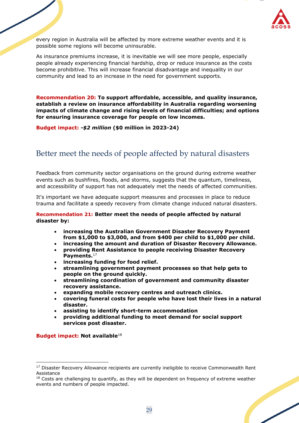

every region in Australia will be affected by more extreme weather events and it is possible some regions will become uninsurable.

As insurance premiums increase, it is inevitable we will see more people, especially people already experiencing financial hardship, drop or reduce insurance as the costs become prohibitive. This will increase financial disadvantage and inequality in our community and lead to an increase in the need for government supports.

**Recommendation 20: To support affordable, accessible, and quality insurance, establish a review on insurance affordability in Australia regarding worsening impacts of climate change and rising levels of financial difficulties; and options for ensuring insurance coverage for people on low incomes.** 

**Budget impact:** *-\$2 million* **(\$0 million in 2023-24)**

## <span id="page-29-0"></span>Better meet the needs of people affected by natural disasters

Feedback from community sector organisations on the ground during extreme weather events such as bushfires, floods, and storms, suggests that the quantum, timeliness, and accessibility of support has not adequately met the needs of affected communities.

It's important we have adequate support measures and processes in place to reduce trauma and facilitate a speedy recovery from climate change induced natural disasters.

#### **Recommendation 21: Better meet the needs of people affected by natural disaster by:**

- **increasing the Australian Government Disaster Recovery Payment from \$1,000 to \$3,000, and from \$400 per child to \$1,000 per child.**
- **increasing the amount and duration of Disaster Recovery Allowance.**
- **providing Rent Assistance to people receiving Disaster Recovery Payments.**<sup>17</sup>
- **increasing funding for food relief.**
- **streamlining government payment processes so that help gets to people on the ground quickly.**
- **streamlining coordination of government and community disaster recovery assistance.**
- **expanding mobile recovery centres and outreach clinics.**
- **covering funeral costs for people who have lost their lives in a natural disaster.**
- **assisting to identify short-term accommodation**
- **providing additional funding to meet demand for social support services post disaster.**

#### **Budget impact: Not available**<sup>18</sup>

<sup>&</sup>lt;sup>17</sup> Disaster Recovery Allowance recipients are currently ineligible to receive Commonwealth Rent Assistance

 $18$  Costs are challenging to quantify, as they will be dependent on frequency of extreme weather events and numbers of people impacted.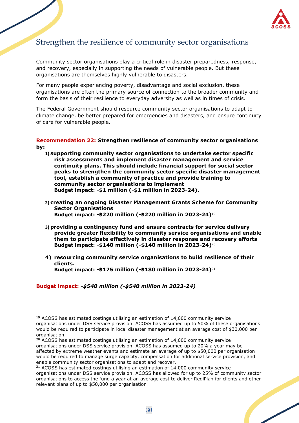

## <span id="page-30-0"></span>Strengthen the resilience of community sector organisations

Community sector organisations play a critical role in disaster preparedness, response, and recovery, especially in supporting the needs of vulnerable people. But these organisations are themselves highly vulnerable to disasters.

For many people experiencing poverty, disadvantage and social exclusion, these organisations are often the primary source of connection to the broader community and form the basis of their resilience to everyday adversity as well as in times of crisis.

The Federal Government should resource community sector organisations to adapt to climate change, be better prepared for emergencies and disasters, and ensure continuity of care for vulnerable people.

#### **Recommendation 22: Strengthen resilience of community sector organisations by:**

- **1) supporting community sector organisations to undertake sector specific risk assessments and implement disaster management and service continuity plans. This should include financial support for social sector peaks to strengthen the community sector specific disaster management tool, establish a community of practice and provide training to community sector organisations to implement Budget impact: -\$1 million (-\$1 million in 2023-24).**
- **2) creating an ongoing Disaster Management Grants Scheme for Community Sector Organisations Budget impact: -\$220 million (-\$220 million in 2023-24)**<sup>19</sup>
- **3) providing a contingency fund and ensure contracts for service delivery provide greater flexibility to community service organisations and enable them to participate effectively in disaster response and recovery efforts Budget impact: -\$140 million (-\$140 million in 2023-24)**<sup>20</sup>
- **4) resourcing community service organisations to build resilience of their clients. Budget impact: -\$175 million (-\$180 million in 2023-24)**<sup>21</sup>

**Budget impact:** *-\$540 million (-\$540 million in 2023-24)*

<sup>&</sup>lt;sup>19</sup> ACOSS has estimated costings utilising an estimation of 14,000 community service organisations under DSS service provision. ACOSS has assumed up to 50% of these organisations would be required to participate in local disaster management at an average cost of \$30,000 per organisation.

 $20$  ACOSS has estimated costings utilising an estimation of  $14,000$  community service organisations under DSS service provision. ACOSS has assumed up to 20% a year may be affected by extreme weather events and estimate an average of up to \$50,000 per organisation would be required to manage surge capacity, compensation for additional service provision, and enable community sector organisations to adapt and recover.

<sup>&</sup>lt;sup>21</sup> ACOSS has estimated costings utilising an estimation of 14,000 community service organisations under DSS service provision. ACOSS has allowed for up to 25% of community sector organisations to access the fund a year at an average cost to deliver RediPlan for clients and other relevant plans of up to \$50,000 per organisation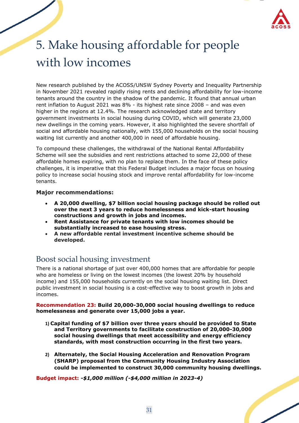

# <span id="page-31-0"></span>5. Make housing affordable for people with low incomes

New research published by the ACOSS/UNSW Sydney Poverty and Inequality Partnership in November 2021 revealed rapidly rising rents and declining affordability for low-income tenants around the country in the shadow of the pandemic. It found that annual urban rent inflation to August 2021 was 8% - its highest rate since 2008 – and was even higher in the regions at 12.4%. The research acknowledged state and territory government investments in social housing during COVID, which will generate 23,000 new dwellings in the coming years. However, it also highlighted the severe shortfall of social and affordable housing nationally, with 155,000 households on the social housing waiting list currently and another 400,000 in need of affordable housing.

To compound these challenges, the withdrawal of the National Rental Affordability Scheme will see the subsidies and rent restrictions attached to some 22,000 of these affordable homes expiring, with no plan to replace them. In the face of these policy challenges, it is imperative that this Federal Budget includes a major focus on housing policy to increase social housing stock and improve rental affordability for low-income tenants.

### **Major recommendations:**

- **A 20,000 dwelling, \$7 billion social housing package should be rolled out over the next 3 years to reduce homelessness and kick-start housing constructions and growth in jobs and incomes.**
- **Rent Assistance for private tenants with low incomes should be substantially increased to ease housing stress.**
- **A new affordable rental investment incentive scheme should be developed.**

## <span id="page-31-1"></span>Boost social housing investment

There is a national shortage of just over 400,000 homes that are affordable for people who are homeless or living on the lowest incomes (the lowest 20% by household income) and 155,000 households currently on the social housing waiting list. Direct public investment in social housing is a cost-effective way to boost growth in jobs and incomes.

**Recommendation 23: Build 20,000-30,000 social housing dwellings to reduce homelessness and generate over 15,000 jobs a year.**

- **1) Capital funding of \$7 billion over three years should be provided to State and Territory governments to facilitate construction of 20,000-30,000 social housing dwellings that meet accessibility and energy efficiency standards, with most construction occurring in the first two years.**
- **2) Alternately, the Social Housing Acceleration and Renovation Program (SHARP) proposal from the Community Housing Industry Association could be implemented to construct 30,000 community housing dwellings.**

**Budget impact:** *-\$1,000 million (-\$4,000 million in 2023-4)*

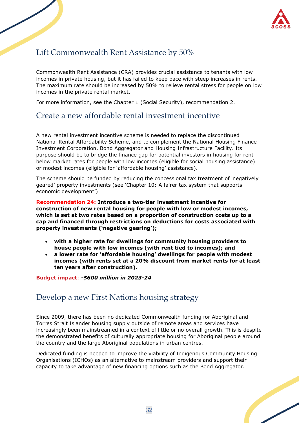

## <span id="page-32-0"></span>Lift Commonwealth Rent Assistance by 50%

Commonwealth Rent Assistance (CRA) provides crucial assistance to tenants with low incomes in private housing, but it has failed to keep pace with steep increases in rents. The maximum rate should be increased by 50% to relieve rental stress for people on low incomes in the private rental market.

For more information, see the Chapter 1 (Social Security), recommendation 2.

## <span id="page-32-1"></span>Create a new affordable rental investment incentive

A new rental investment incentive scheme is needed to replace the discontinued National Rental Affordability Scheme, and to complement the National Housing Finance Investment Corporation, Bond Aggregator and Housing Infrastructure Facility. Its purpose should be to bridge the finance gap for potential investors in housing for rent below market rates for people with low incomes (eligible for social housing assistance) or modest incomes (eligible for 'affordable housing' assistance).

The scheme should be funded by reducing the concessional tax treatment of 'negatively geared' property investments (see 'Chapter 10: A fairer tax system that supports economic development')

**Recommendation 24: Introduce a two-tier investment incentive for construction of new rental housing for people with low or modest incomes, which is set at two rates based on a proportion of construction costs up to a cap and financed through restrictions on deductions for costs associated with property investments ('negative gearing');**

- **with a higher rate for dwellings for community housing providers to house people with low incomes (with rent tied to incomes); and**
- **a lower rate for 'affordable housing' dwellings for people with modest incomes (with rents set at a 20% discount from market rents for at least ten years after construction).**

#### **Budget impact**: *-\$600 million in 2023-24*

## <span id="page-32-2"></span>Develop a new First Nations housing strategy

Since 2009, there has been no dedicated Commonwealth funding for Aboriginal and Torres Strait Islander housing supply outside of remote areas and services have increasingly been mainstreamed in a context of little or no overall growth. This is despite the demonstrated benefits of culturally appropriate housing for Aboriginal people around the country and the large Aboriginal populations in urban centres.

Dedicated funding is needed to improve the viability of Indigenous Community Housing Organisations (ICHOs) as an alternative to mainstream providers and support their capacity to take advantage of new financing options such as the Bond Aggregator.

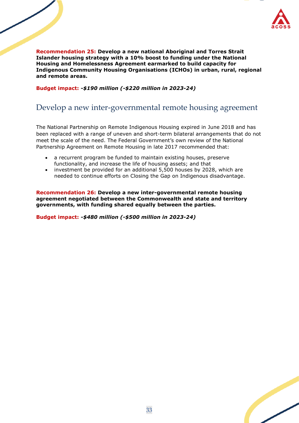

**Recommendation 25: Develop a new national Aboriginal and Torres Strait Islander housing strategy with a 10% boost to funding under the National Housing and Homelessness Agreement earmarked to build capacity for Indigenous Community Housing Organisations (ICHOs) in urban, rural, regional and remote areas.** 

**Budget impact:** *-\$190 million (-\$220 million in 2023-24)*

## <span id="page-33-0"></span>Develop a new inter-governmental remote housing agreement

The National Partnership on Remote Indigenous Housing expired in June 2018 and has been replaced with a range of uneven and short-term bilateral arrangements that do not meet the scale of the need. The Federal Government's own review of the National Partnership Agreement on Remote Housing in late 2017 recommended that:

- a recurrent program be funded to maintain existing houses, preserve functionality, and increase the life of housing assets; and that
- investment be provided for an additional 5,500 houses by 2028, which are needed to continue efforts on Closing the Gap on Indigenous disadvantage.

**Recommendation 26: Develop a new inter-governmental remote housing agreement negotiated between the Commonwealth and state and territory governments, with funding shared equally between the parties.**

**Budget impact:** *-\$480 million (-\$500 million in 2023-24)*

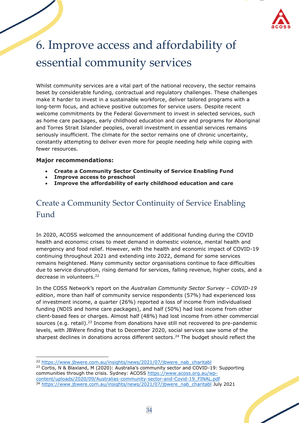

# <span id="page-34-0"></span>6. Improve access and affordability of essential community services

Whilst community services are a vital part of the national recovery, the sector remains beset by considerable funding, contractual and regulatory challenges. These challenges make it harder to invest in a sustainable workforce, deliver tailored programs with a long-term focus, and achieve positive outcomes for service users. Despite recent welcome commitments by the Federal Government to invest in selected services, such as home care packages, early childhood education and care and programs for Aboriginal and Torres Strait Islander peoples, overall investment in essential services remains seriously insufficient. The climate for the sector remains one of chronic uncertainty, constantly attempting to deliver even more for people needing help while coping with fewer resources.

### **Major recommendations:**

- **Create a Community Sector Continuity of Service Enabling Fund**
- **Improve access to preschool**
- **Improve the affordability of early childhood education and care**

## <span id="page-34-1"></span>Create a Community Sector Continuity of Service Enabling Fund

In 2020, ACOSS welcomed the announcement of additional funding during the COVID health and economic crises to meet demand in domestic violence, mental health and emergency and food relief. However, with the health and economic impact of COVID-19 continuing throughout 2021 and extending into 2022, demand for some services remains heightened. Many community sector organisations continue to face difficulties due to service disruption, rising demand for services, falling revenue, higher costs, and a decrease in volunteers.<sup>22</sup>

In the COSS Network's report on the *Australian Community Sector Survey – COVID-19 edition*, more than half of community service respondents (57%) had experienced loss of investment income, a quarter (26%) reported a loss of income from individualised funding (NDIS and home care packages), and half (50%) had lost income from other client-based fees or charges. Almost half (48%) had lost income from other commercial sources (e.g. retail).<sup>23</sup> Income from donations have still not recovered to pre-pandemic levels, with JBWere finding that to December 2020, social services saw some of the sharpest declines in donations across different sectors.<sup>24</sup> The budget should reflect the

<sup>23</sup> Cortis, N & Blaxland, M (2020): Australia's community sector and COVID-19: Supporting communities through the crisis. Sydney: ACOSS [https://www.acoss.org.au/wp](https://www.acoss.org.au/wp-content/uploads/2020/09/Australias-community-sector-and-Covid-19_FINAL.pdf)[content/uploads/2020/09/Australias-community-sector-and-Covid-19\\_FINAL.pdf](https://www.acoss.org.au/wp-content/uploads/2020/09/Australias-community-sector-and-Covid-19_FINAL.pdf)





<sup>22</sup> [https://www.jbwere.com.au/insights/news/2021/07/jbwere\\_nab\\_charitabl](https://www.jbwere.com.au/insights/news/2021/07/jbwere_nab_charitabl)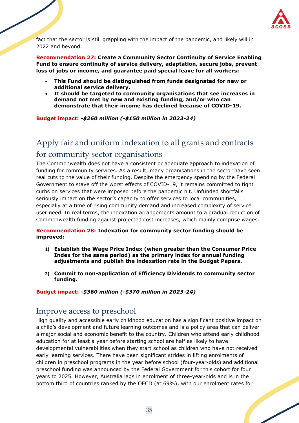

fact that the sector is still grappling with the impact of the pandemic, and likely will in 2022 and beyond.

**Recommendation 27: Create a Community Sector Continuity of Service Enabling Fund to ensure continuity of service delivery, adaptation, secure jobs, prevent loss of jobs or income, and guarantee paid special leave for all workers:**

- **This Fund should be distinguished from funds designated for new or additional service delivery.**
- **It should be targeted to community organisations that see increases in demand not met by new and existing funding, and/or who can demonstrate that their income has declined because of COVID-19.**

**Budget impact:** *-\$260 million (-\$150 million in 2023-24)*

## <span id="page-35-0"></span>Apply fair and uniform indexation to all grants and contracts for community sector organisations

The Commonwealth does not have a consistent or adequate approach to indexation of funding for community services. As a result, many organisations in the sector have seen real cuts to the value of their funding. Despite the emergency spending by the Federal Government to stave off the worst effects of COVID-19, it remains committed to tight curbs on services that were imposed before the pandemic hit. Unfunded shortfalls seriously impact on the sector's capacity to offer services to local communities, especially at a time of rising community demand and increased complexity of service user need. In real terms, the indexation arrangements amount to a gradual reduction of Commonwealth funding against projected cost increases, which mainly comprise wages.

#### **Recommendation 28: Indexation for community sector funding should be improved:**

- **1) Establish the Wage Price Index (when greater than the Consumer Price Index for the same period) as the primary index for annual funding adjustments and publish the indexation rate in the Budget Papers.**
- **2) Commit to non-application of Efficiency Dividends to community sector funding.**

#### **Budget impact:** *-\$360 million (-\$370 million in 2023-24)*

## <span id="page-35-1"></span>Improve access to preschool

High quality and accessible early childhood education has a significant positive impact on a child's development and future learning outcomes and is a policy area that can deliver a major social and economic benefit to the country. Children who attend early childhood education for at least a year before starting school are half as likely to have developmental vulnerabilities when they start school as children who have not received early learning services. There have been significant strides in lifting enrolments of children in preschool programs in the year before school (four-year-olds) and additional preschool funding was announced by the Federal Government for this cohort for four years to 2025. However, Australia lags in enrolment of three-year-olds and is in the bottom third of countries ranked by the OECD (at 69%), with our enrolment rates for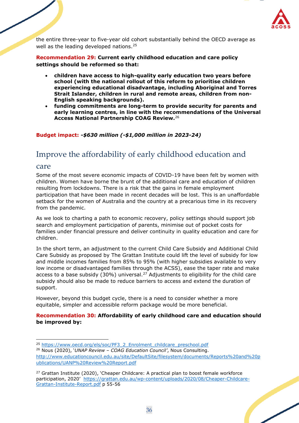

the entire three-year to five-year old cohort substantially behind the OECD average as well as the leading developed nations.<sup>25</sup>

**Recommendation 29: Current early childhood education and care policy settings should be reformed so that:**

- **children have access to high-quality early education two years before school (with the national rollout of this reform to prioritise children experiencing educational disadvantage, including Aboriginal and Torres Strait Islander, children in rural and remote areas, children from non-English speaking backgrounds).**
- **funding commitments are long-term to provide security for parents and early learning centres, in line with the recommendations of the Universal Access National Partnership COAG Review.**<sup>26</sup>

### **Budget impact:** *-\$630 million (-\$1,000 million in 2023-24)*

## <span id="page-36-0"></span>Improve the affordability of early childhood education and

### care

Some of the most severe economic impacts of COVID-19 have been felt by women with children. Women have borne the brunt of the additional care and education of children resulting from lockdowns. There is a risk that the gains in female employment participation that have been made in recent decades will be lost. This is an unaffordable setback for the women of Australia and the country at a precarious time in its recovery from the pandemic.

As we look to charting a path to economic recovery, policy settings should support job search and employment participation of parents, minimise out of pocket costs for families under financial pressure and deliver continuity in quality education and care for children.

In the short term, an adjustment to the current Child Care Subsidy and Additional Child Care Subsidy as proposed by The Grattan Institute could lift the level of subsidy for low and middle incomes families from 85% to 95% (with higher subsidies available to very low income or disadvantaged families through the ACSS), ease the taper rate and make access to a base subsidy (30%) universal.<sup>27</sup> Adjustments to eligibility for the child care subsidy should also be made to reduce barriers to access and extend the duration of support.

However, beyond this budget cycle, there is a need to consider whether a more equitable, simpler and accessible reform package would be more beneficial.

#### **Recommendation 30: Affordability of early childhood care and education should be improved by:**

<sup>&</sup>lt;sup>27</sup> Grattan Institute (2020), 'Cheaper Childcare: A practical plan to boost female workforce participation, 2020' [https://grattan.edu.au/wp-content/uploads/2020/08/Cheaper-Childcare-](https://grattan.edu.au/wp-content/uploads/2020/08/Cheaper-Childcare-Grattan-Institute-Report.pdf)[Grattan-Institute-Report.pdf](https://grattan.edu.au/wp-content/uploads/2020/08/Cheaper-Childcare-Grattan-Institute-Report.pdf) p 55-56



<sup>&</sup>lt;sup>25</sup> [https://www.oecd.org/els/soc/PF3\\_2\\_Enrolment\\_childcare\\_preschool.pdf](https://www.oecd.org/els/soc/PF3_2_Enrolment_childcare_preschool.pdf) <sup>26</sup> Nous (2020), '*UNAP Review – COAG Education Council'*, Nous Consulting. [http://www.educationcouncil.edu.au/site/DefaultSite/filesystem/documents/Reports%20and%20p](http://www.educationcouncil.edu.au/site/DefaultSite/filesystem/documents/Reports%20and%20publications/UANP%20Review%20Report.pdf) [ublications/UANP%20Review%20Report.pdf](http://www.educationcouncil.edu.au/site/DefaultSite/filesystem/documents/Reports%20and%20publications/UANP%20Review%20Report.pdf)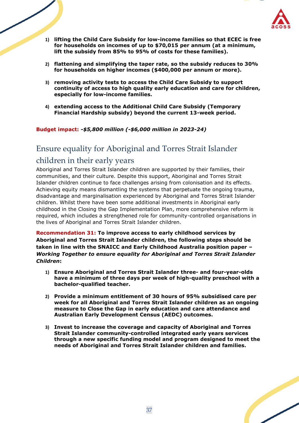

- **1) lifting the Child Care Subsidy for low-income families so that ECEC is free for households on incomes of up to \$70,015 per annum (at a minimum, lift the subsidy from 85% to 95% of costs for these families).**
- **2) flattening and simplifying the taper rate, so the subsidy reduces to 30% for households on higher incomes (\$400,000 per annum or more).**
- **3) removing activity tests to access the Child Care Subsidy to support continuity of access to high quality early education and care for children, especially for low-income families.**
- **4) extending access to the Additional Child Care Subsidy (Temporary Financial Hardship subsidy) beyond the current 13-week period.**

**Budget impact:** *-\$5,800 million (-\$6,000 million in 2023-24)*

## <span id="page-37-0"></span>Ensure equality for Aboriginal and Torres Strait Islander children in their early years

Aboriginal and Torres Strait Islander children are supported by their families, their communities, and their culture. Despite this support, Aboriginal and Torres Strait Islander children continue to face challenges arising from colonisation and its effects. Achieving equity means dismantling the systems that perpetuate the ongoing trauma, disadvantage and marginalisation experienced by Aboriginal and Torres Strait Islander children. Whilst there have been some additional investments in Aboriginal early childhood in the Closing the Gap Implementation Plan, more comprehensive reform is required, which includes a strengthened role for community-controlled organisations in the lives of Aboriginal and Torres Strait Islander children.

**Recommendation 31: To improve access to early childhood services by Aboriginal and Torres Strait Islander children, the following steps should be taken in line with the SNAICC and Early Childhood Australia position paper –** *Working Together to ensure equality for Aboriginal and Torres Strait Islander Children***:**

- **1) Ensure Aboriginal and Torres Strait Islander three- and four-year-olds have a minimum of three days per week of high-quality preschool with a bachelor-qualified teacher.**
- **2) Provide a minimum entitlement of 30 hours of 95% subsidised care per week for all Aboriginal and Torres Strait Islander children as an ongoing measure to Close the Gap in early education and care attendance and Australian Early Development Census (AEDC) outcomes.**
- **3) Invest to increase the coverage and capacity of Aboriginal and Torres Strait Islander community-controlled integrated early years services through a new specific funding model and program designed to meet the needs of Aboriginal and Torres Strait Islander children and families.**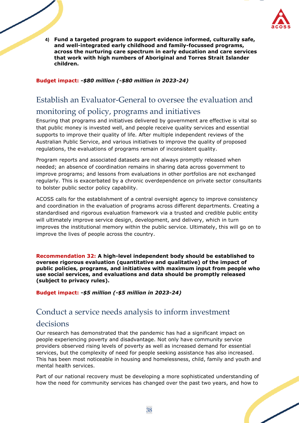

**4) Fund a targeted program to support evidence informed, culturally safe, and well-integrated early childhood and family-focussed programs, across the nurturing care spectrum in early education and care services that work with high numbers of Aboriginal and Torres Strait Islander children.**

**Budget impact:** *-\$80 million (-\$80 million in 2023-24)*

## <span id="page-38-0"></span>Establish an Evaluator-General to oversee the evaluation and

## monitoring of policy, programs and initiatives

Ensuring that programs and initiatives delivered by government are effective is vital so that public money is invested well, and people receive quality services and essential supports to improve their quality of life. After multiple independent reviews of the Australian Public Service, and various initiatives to improve the quality of proposed regulations, the evaluations of programs remain of inconsistent quality.

Program reports and associated datasets are not always promptly released when needed; an absence of coordination remains in sharing data across government to improve programs; and lessons from evaluations in other portfolios are not exchanged regularly. This is exacerbated by a chronic overdependence on private sector consultants to bolster public sector policy capability.

ACOSS calls for the establishment of a central oversight agency to improve consistency and coordination in the evaluation of programs across different departments. Creating a standardised and rigorous evaluation framework via a trusted and credible public entity will ultimately improve service design, development, and delivery, which in turn improves the institutional memory within the public service. Ultimately, this will go on to improve the lives of people across the country.

**Recommendation 32: A high-level independent body should be established to oversee rigorous evaluation (quantitative and qualitative) of the impact of public policies, programs, and initiatives with maximum input from people who use social services, and evaluations and data should be promptly released (subject to privacy rules).**

**Budget impact:** *-\$5 million (-\$5 million in 2023-24)*

## <span id="page-38-1"></span>Conduct a service needs analysis to inform investment

## decisions

Our research has demonstrated that the pandemic has had a significant impact on people experiencing poverty and disadvantage. Not only have community service providers observed rising levels of poverty as well as increased demand for essential services, but the complexity of need for people seeking assistance has also increased. This has been most noticeable in housing and homelessness, child, family and youth and mental health services.

Part of our national recovery must be developing a more sophisticated understanding of how the need for community services has changed over the past two years, and how to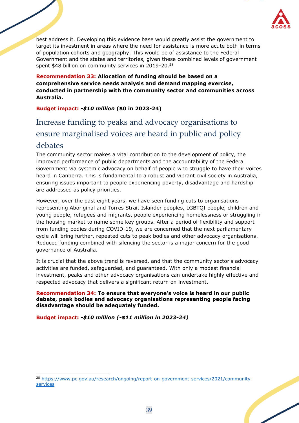

best address it. Developing this evidence base would greatly assist the government to target its investment in areas where the need for assistance is more acute both in terms of population cohorts and geography. This would be of assistance to the Federal Government and the states and territories, given these combined levels of government spent \$48 billion on community services in 2019-20.<sup>28</sup>

**Recommendation 33: Allocation of funding should be based on a comprehensive service needs analysis and demand mapping exercise, conducted in partnership with the community sector and communities across Australia.**

### **Budget impact:** *-\$10 million* **(\$0 in 2023-24)**

## <span id="page-39-0"></span>Increase funding to peaks and advocacy organisations to ensure marginalised voices are heard in public and policy debates

The community sector makes a vital contribution to the development of policy, the improved performance of public departments and the accountability of the Federal Government via systemic advocacy on behalf of people who struggle to have their voices heard in Canberra. This is fundamental to a robust and vibrant civil society in Australia, ensuring issues important to people experiencing poverty, disadvantage and hardship are addressed as policy priorities.

However, over the past eight years, we have seen funding cuts to organisations representing Aboriginal and Torres Strait Islander peoples, LGBTQI people, children and young people, refugees and migrants, people experiencing homelessness or struggling in the housing market to name some key groups. After a period of flexibility and support from funding bodies during COVID-19, we are concerned that the next parliamentary cycle will bring further, repeated cuts to peak bodies and other advocacy organisations. Reduced funding combined with silencing the sector is a major concern for the good governance of Australia.

It is crucial that the above trend is reversed, and that the community sector's advocacy activities are funded, safeguarded, and guaranteed. With only a modest financial investment, peaks and other advocacy organisations can undertake highly effective and respected advocacy that delivers a significant return on investment.

#### **Recommendation 34: To ensure that everyone's voice is heard in our public debate, peak bodies and advocacy organisations representing people facing disadvantage should be adequately funded.**

**Budget impact:** *-\$10 million (-\$11 million in 2023-24)*

<sup>28</sup> [https://www.pc.gov.au/research/ongoing/report-on-government-services/2021/community](https://www.pc.gov.au/research/ongoing/report-on-government-services/2021/community-services)[services](https://www.pc.gov.au/research/ongoing/report-on-government-services/2021/community-services)

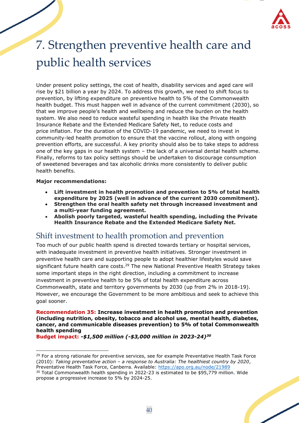

# <span id="page-40-0"></span>7. Strengthen preventive health care and public health services

Under present policy settings, the cost of health, disability services and aged care will rise by \$21 billion a year by 2024. To address this growth, we need to shift focus to prevention, by lifting expenditure on preventive health to 5% of the Commonwealth health budget. This must happen well in advance of the current commitment (2030), so that we improve people's health and wellbeing and reduce the burden on the health system. We also need to reduce wasteful spending in health like the Private Health Insurance Rebate and the Extended Medicare Safety Net, to reduce costs and price inflation. For the duration of the COVID-19 pandemic, we need to invest in community-led health promotion to ensure that the vaccine rollout, along with ongoing prevention efforts, are successful. A key priority should also be to take steps to address one of the key gaps in our health system – the lack of a universal dental health scheme. Finally, reforms to tax policy settings should be undertaken to discourage consumption of sweetened beverages and tax alcoholic drinks more consistently to deliver public health benefits.

#### **Major recommendations:**

- **Lift investment in health promotion and prevention to 5% of total health expenditure by 2025 (well in advance of the current 2030 commitment).**
- **Strengthen the oral health safety net through increased investment and a multi-year funding agreement.**
- **Abolish poorly targeted, wasteful health spending, including the Private Health Insurance Rebate and the Extended Medicare Safety Net.**

## <span id="page-40-1"></span>Shift investment to health promotion and prevention

Too much of our public health spend is directed towards tertiary or hospital services, with inadequate investment in preventive health initiatives. Stronger investment in preventive health care and supporting people to adopt healthier lifestyles would save significant future health care costs.<sup>29</sup> The new National Preventive Health Strategy takes some important steps in the right direction, including a commitment to increase investment in preventive health to be 5% of total health expenditure across Commonwealth, state and territory governments by 2030 (up from 2% in 2018-19). However, we encourage the Government to be more ambitious and seek to achieve this goal sooner.

#### **Recommendation 35: Increase investment in health promotion and prevention (including nutrition, obesity, tobacco and alcohol use, mental health, diabetes, cancer, and communicable diseases prevention) to 5% of total Commonwealth health spending**

**Budget impact:** *-\$1,500 million (-\$3,000 million in 2023-24) 30*

<sup>30</sup> Total Commonwealth health spending in 2022-23 is estimated to be \$95,779 million. Wide propose a progressive increase to 5% by 2024-25.



<sup>&</sup>lt;sup>29</sup> For a strong rationale for preventive services, see for example Preventative Health Task Force (2010): *Taking preventative action – a response to Australia: The healthiest country by 2020*, Preventative Health Task Force, Canberra. Available:<https://apo.org.au/node/21989>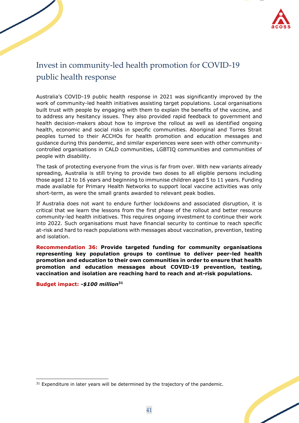

## <span id="page-41-0"></span>Invest in community-led health promotion for COVID-19 public health response

Australia's COVID-19 public health response in 2021 was significantly improved by the work of community-led health initiatives assisting target populations. Local organisations built trust with people by engaging with them to explain the benefits of the vaccine, and to address any hesitancy issues. They also provided rapid feedback to government and health decision-makers about how to improve the rollout as well as identified ongoing health, economic and social risks in specific communities. Aboriginal and Torres Strait peoples turned to their ACCHOs for health promotion and education messages and guidance during this pandemic, and similar experiences were seen with other communitycontrolled organisations in CALD communities, LGBTIQ communities and communities of people with disability.

The task of protecting everyone from the virus is far from over. With new variants already spreading, Australia is still trying to provide two doses to all eligible persons including those aged 12 to 16 years and beginning to immunise children aged 5 to 11 years. Funding made available for Primary Health Networks to support local vaccine activities was only short-term, as were the small grants awarded to relevant peak bodies.

If Australia does not want to endure further lockdowns and associated disruption, it is critical that we learn the lessons from the first phase of the rollout and better resource community-led health initiatives. This requires ongoing investment to continue their work into 2022. Such organisations must have financial security to continue to reach specific at-risk and hard to reach populations with messages about vaccination, prevention, testing and isolation.

**Recommendation 36: Provide targeted funding for community organisations representing key population groups to continue to deliver peer-led health promotion and education to their own communities in order to ensure that health promotion and education messages about COVID-19 prevention, testing, vaccination and isolation are reaching hard to reach and at-risk populations.**

**Budget impact:** *-\$100 million***<sup>31</sup>**

<sup>&</sup>lt;sup>31</sup> Expenditure in later years will be determined by the trajectory of the pandemic.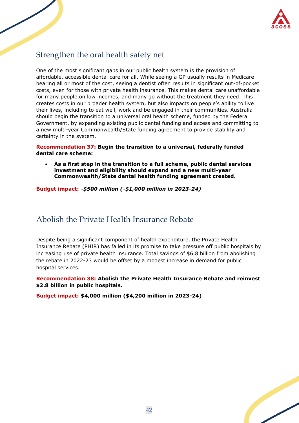

## <span id="page-42-0"></span>Strengthen the oral health safety net

One of the most significant gaps in our public health system is the provision of affordable, accessible dental care for all. While seeing a GP usually results in Medicare bearing all or most of the cost, seeing a dentist often results in significant out-of-pocket costs, even for those with private health insurance. This makes dental care unaffordable for many people on low incomes, and many go without the treatment they need. This creates costs in our broader health system, but also impacts on people's ability to live their lives, including to eat well, work and be engaged in their communities. Australia should begin the transition to a universal oral health scheme, funded by the Federal Government, by expanding existing public dental funding and access and committing to a new multi-year Commonwealth/State funding agreement to provide stability and certainty in the system.

**Recommendation 37: Begin the transition to a universal, federally funded dental care scheme:** 

• **As a first step in the transition to a full scheme, public dental services investment and eligibility should expand and a new multi-year Commonwealth/State dental health funding agreement created.** 

**Budget impact:** *-\$500 million (-\$1,000 million in 2023-24)*

## <span id="page-42-1"></span>Abolish the Private Health Insurance Rebate

Despite being a significant component of health expenditure, the Private Health Insurance Rebate (PHIR) has failed in its promise to take pressure off public hospitals by increasing use of private health insurance. Total savings of \$6.8 billion from abolishing the rebate in 2022-23 would be offset by a modest increase in demand for public hospital services.

**Recommendation 38: Abolish the Private Health Insurance Rebate and reinvest \$2.8 billion in public hospitals.**

**Budget impact: \$4,000 million (\$4,200 million in 2023-24)**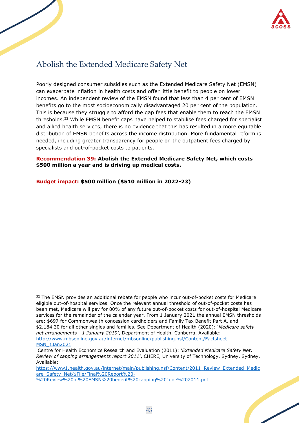

## <span id="page-43-0"></span>Abolish the Extended Medicare Safety Net

Poorly designed consumer subsidies such as the Extended Medicare Safety Net (EMSN) can exacerbate inflation in health costs and offer little benefit to people on lower incomes. An independent review of the EMSN found that less than 4 per cent of EMSN benefits go to the most socioeconomically disadvantaged 20 per cent of the population. This is because they struggle to afford the gap fees that enable them to reach the EMSN thresholds.<sup>32</sup> While EMSN benefit caps have helped to stabilise fees charged for specialist and allied health services, there is no evidence that this has resulted in a more equitable distribution of EMSN benefits across the income distribution. More fundamental reform is needed, including greater transparency for people on the outpatient fees charged by specialists and out-of-pocket costs to patients.

#### **Recommendation 39: Abolish the Extended Medicare Safety Net, which costs \$500 million a year and is driving up medical costs.**

#### **Budget impact: \$500 million (\$510 million in 2022-23)**

[https://www1.health.gov.au/internet/main/publishing.nsf/Content/2011\\_Review\\_Extended\\_Medic](https://www1.health.gov.au/internet/main/publishing.nsf/Content/2011_Review_Extended_Medicare_Safety_Net/$File/Final%20Report%20-%20Review%20of%20EMSN%20benefit%20capping%20June%202011.pdf) are Safety Net/\$File/Final%20Report%20-

[%20Review%20of%20EMSN%20benefit%20capping%20June%202011.pdf](https://www1.health.gov.au/internet/main/publishing.nsf/Content/2011_Review_Extended_Medicare_Safety_Net/$File/Final%20Report%20-%20Review%20of%20EMSN%20benefit%20capping%20June%202011.pdf)



<sup>&</sup>lt;sup>32</sup> The EMSN provides an additional rebate for people who incur out-of-pocket costs for Medicare eligible out-of-hospital services. Once the relevant annual threshold of out-of-pocket costs has been met, Medicare will pay for 80% of any future out-of-pocket costs for out-of-hospital Medicare services for the remainder of the calendar year. From 1 January 2021 the annual EMSN thresholds are: \$697 for Commonwealth concession cardholders and Family Tax Benefit Part A, and \$2,184.30 for all other singles and families. See Department of Health (2020): '*Medicare safety net arrangements - 1 January 2019'*, Department of Health, Canberra. Available: [http://www.mbsonline.gov.au/internet/mbsonline/publishing.nsf/Content/Factsheet-](http://www.mbsonline.gov.au/internet/mbsonline/publishing.nsf/Content/Factsheet-MSN_1Jan2019)[MSN\\_1Jan2021](http://www.mbsonline.gov.au/internet/mbsonline/publishing.nsf/Content/Factsheet-MSN_1Jan2019)

Centre for Health Economics Research and Evaluation (2011): '*Extended Medicare Safety Net: Review of capping arrangements report 2011'*, CHERE, University of Technology, Sydney, Sydney. Available: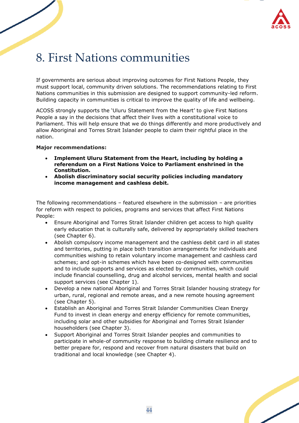

# <span id="page-44-0"></span>8. First Nations communities

If governments are serious about improving outcomes for First Nations People, they must support local, community driven solutions. The recommendations relating to First Nations communities in this submission are designed to support community-led reform. Building capacity in communities is critical to improve the quality of life and wellbeing.

ACOSS strongly supports the 'Uluru Statement from the Heart' to give First Nations People a say in the decisions that affect their lives with a constitutional voice to Parliament. This will help ensure that we do things differently and more productively and allow Aboriginal and Torres Strait Islander people to claim their rightful place in the nation.

#### **Major recommendations:**

- **Implement Uluru Statement from the Heart, including by holding a referendum on a First Nations Voice to Parliament enshrined in the Constitution.**
- **Abolish discriminatory social security policies including mandatory income management and cashless debit.**

The following recommendations – featured elsewhere in the submission – are priorities for reform with respect to policies, programs and services that affect First Nations People:

- Ensure Aboriginal and Torres Strait Islander children get access to high quality early education that is culturally safe, delivered by appropriately skilled teachers (see Chapter 6).
- Abolish compulsory income management and the cashless debit card in all states and territories, putting in place both transition arrangements for individuals and communities wishing to retain voluntary income management and cashless card schemes; and opt-in schemes which have been co-designed with communities and to include supports and services as elected by communities, which could include financial counselling, drug and alcohol services, mental health and social support services (see Chapter 1).
- Develop a new national Aboriginal and Torres Strait Islander housing strategy for urban, rural, regional and remote areas, and a new remote housing agreement (see Chapter 5).
- Establish an Aboriginal and Torres Strait Islander Communities Clean Energy Fund to invest in clean energy and energy efficiency for remote communities, including solar and other subsidies for Aboriginal and Torres Strait Islander householders (see Chapter 3).
- Support Aboriginal and Torres Strait Islander peoples and communities to participate in whole-of community response to building climate resilience and to better prepare for, respond and recover from natural disasters that build on traditional and local knowledge (see Chapter 4).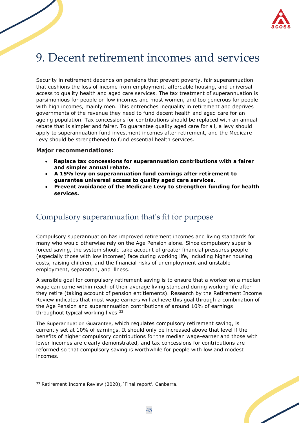

# <span id="page-45-0"></span>9. Decent retirement incomes and services

Security in retirement depends on pensions that prevent poverty, fair superannuation that cushions the loss of income from employment, affordable housing, and universal access to quality health and aged care services. The tax treatment of superannuation is parsimonious for people on low incomes and most women, and too generous for people with high incomes, mainly men. This entrenches inequality in retirement and deprives governments of the revenue they need to fund decent health and aged care for an ageing population. Tax concessions for contributions should be replaced with an annual rebate that is simpler and fairer. To guarantee quality aged care for all, a levy should apply to superannuation fund investment incomes after retirement, and the Medicare Levy should be strengthened to fund essential health services.

#### **Major recommendations:**

- • **Replace tax concessions for superannuation contributions with a fairer and simpler annual rebate.**
- **A 15% levy on superannuation fund earnings after retirement to guarantee universal access to quality aged care services.**
- **Prevent avoidance of the Medicare Levy to strengthen funding for health services.**

## <span id="page-45-1"></span>Compulsory superannuation that's fit for purpose

Compulsory superannuation has improved retirement incomes and living standards for many who would otherwise rely on the Age Pension alone. Since compulsory super is forced saving, the system should take account of greater financial pressures people (especially those with low incomes) face during working life, including higher housing costs, raising children, and the financial risks of unemployment and unstable employment, separation, and illness.

A sensible goal for compulsory retirement saving is to ensure that a worker on a median wage can come within reach of their average living standard during working life after they retire (taking account of pension entitlements). Research by the Retirement Income Review indicates that most wage earners will achieve this goal through a combination of the Age Pension and superannuation contributions of around 10% of earnings throughout typical working lives.<sup>33</sup>

The Superannuation Guarantee, which regulates compulsory retirement saving, is currently set at 10% of earnings. It should only be increased above that level if the benefits of higher compulsory contributions for the median wage-earner and those with lower incomes are clearly demonstrated, and tax concessions for contributions are reformed so that compulsory saving is worthwhile for people with low and modest incomes.

<sup>33</sup> Retirement Income Review (2020), 'Final report'. Canberra.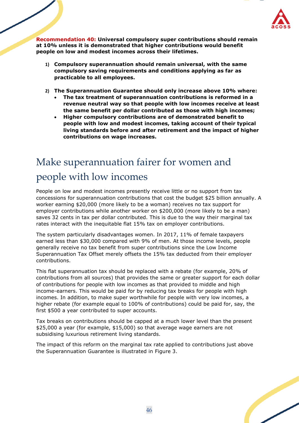

**Recommendation 40: Universal compulsory super contributions should remain at 10% unless it is demonstrated that higher contributions would benefit people on low and modest incomes across their lifetimes.**

- **1) Compulsory superannuation should remain universal, with the same compulsory saving requirements and conditions applying as far as practicable to all employees.**
- **2) The Superannuation Guarantee should only increase above 10% where:**
	- **The tax treatment of superannuation contributions is reformed in a revenue neutral way so that people with low incomes receive at least the same benefit per dollar contributed as those with high incomes;**
	- **Higher compulsory contributions are of demonstrated benefit to people with low and modest incomes, taking account of their typical living standards before and after retirement and the impact of higher contributions on wage increases.**

# Make superannuation fairer for women and people with low incomes

People on low and modest incomes presently receive little or no support from tax concessions for superannuation contributions that cost the budget \$25 billion annually. A worker earning \$20,000 (more likely to be a woman) receives no tax support for employer contributions while another worker on \$200,000 (more likely to be a man) saves 32 cents in tax per dollar contributed. This is due to the way their marginal tax rates interact with the inequitable flat 15% tax on employer contributions.

The system particularly disadvantages women. In 2017, 11% of female taxpayers earned less than \$30,000 compared with 9% of men. At those income levels, people generally receive no tax benefit from super contributions since the Low Income Superannuation Tax Offset merely offsets the 15% tax deducted from their employer contributions.

This flat superannuation tax should be replaced with a rebate (for example, 20% of contributions from all sources) that provides the same or greater support for each dollar of contributions for people with low incomes as that provided to middle and high income-earners. This would be paid for by reducing tax breaks for people with high incomes. In addition, to make super worthwhile for people with very low incomes, a higher rebate (for example equal to 100% of contributions) could be paid for, say, the first \$500 a year contributed to super accounts.

Tax breaks on contributions should be capped at a much lower level than the present \$25,000 a year (for example, \$15,000) so that average wage earners are not subsidising luxurious retirement living standards.

The impact of this reform on the marginal tax rate applied to contributions just above the Superannuation Guarantee is illustrated in Figure 3.

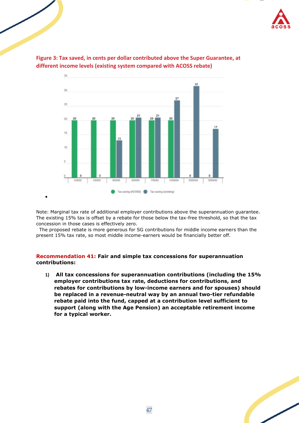



**Figure 3: Tax saved, in cents per dollar contributed above the Super Guarantee, at different income levels (existing system compared with ACOSS rebate)**

Note: Marginal tax rate of additional employer contributions above the superannuation guarantee. The existing 15% tax is offset by a rebate for those below the tax-free threshold, so that the tax concession in those cases is effectively zero.

•

 The proposed rebate is more generous for SG contributions for middle income earners than the present 15% tax rate, so most middle income-earners would be financially better off.

#### **Recommendation 41: Fair and simple tax concessions for superannuation contributions:**

**1) All tax concessions for superannuation contributions (including the 15% employer contributions tax rate, deductions for contributions, and rebates for contributions by low-income earners and for spouses) should be replaced in a revenue-neutral way by an annual two-tier refundable rebate paid into the fund, capped at a contribution level sufficient to support (along with the Age Pension) an acceptable retirement income for a typical worker.**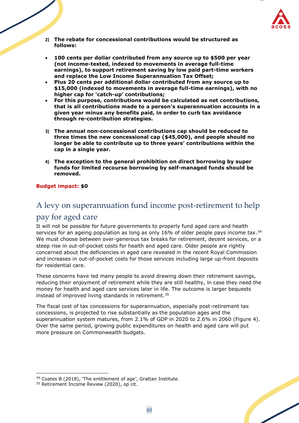

- **2) The rebate for concessional contributions would be structured as follows:**
- **100 cents per dollar contributed from any source up to \$500 per year (not income-tested, indexed to movements in average full-time earnings), to support retirement saving by low paid part-time workers and replace the Low Income Superannuation Tax Offset;**
- **Plus 20 cents per additional dollar contributed from any source up to \$15,000 (indexed to movements in average full-time earnings), with no higher cap for 'catch-up' contributions;**
- **For this purpose, contributions would be calculated as net contributions, that is all contributions made to a person's superannuation accounts in a given year minus any benefits paid, in order to curb tax avoidance through re-contribution strategies.**
- **3) The annual non-concessional contributions cap should be reduced to three times the new concessional cap (\$45,000), and people should no longer be able to contribute up to three years' contributions within the cap in a single year.**
- **4) The exception to the general prohibition on direct borrowing by super funds for limited recourse borrowing by self-managed funds should be removed.**

#### **Budget impact: \$0**

## <span id="page-48-0"></span>A levy on superannuation fund income post-retirement to help

### pay for aged care

It will not be possible for future governments to properly fund aged care and health services for an ageing population as long as only 16% of older people pays income tax.<sup>34</sup> We must choose between over-generous tax breaks for retirement, decent services, or a steep rise in out-of-pocket costs for health and aged care. Older people are rightly concerned about the deficiencies in aged care revealed in the recent Royal Commission and increases in out-of-pocket costs for those services including large up-front deposits for residential care.

These concerns have led many people to avoid drawing down their retirement savings, reducing their enjoyment of retirement while they are still healthy, in case they need the money for health and aged care services later in life. The outcome is larger bequests instead of improved living standards in retirement.<sup>35</sup>

The fiscal cost of tax concessions for superannuation, especially post-retirement tax concessions, is projected to rise substantially as the population ages and the superannuation system matures, from 2.1% of GDP in 2020 to 2.6% in 2060 (Figure 4). Over the same period, growing public expenditures on health and aged care will put more pressure on Commonwealth budgets.



<sup>34</sup> Coates B (2018), 'The entitlement of age', Grattan Institute.

<sup>&</sup>lt;sup>35</sup> Retirement Income Review (2020), op cit.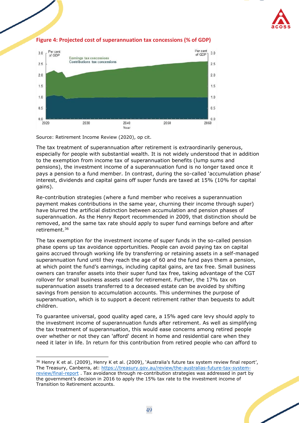



#### **Figure 4: Projected cost of superannuation tax concessions (% of GDP)**

Source: Retirement Income Review (2020), op cit.

The tax treatment of superannuation after retirement is extraordinarily generous, especially for people with substantial wealth. It is not widely understood that in addition to the exemption from income tax of superannuation benefits (lump sums and pensions), the investment income of a superannuation fund is no longer taxed once it pays a pension to a fund member. In contrast, during the so-called 'accumulation phase' interest, dividends and capital gains off super funds are taxed at 15% (10% for capital gains).

Re-contribution strategies (where a fund member who receives a superannuation payment makes contributions in the same year, churning their income through super) have blurred the artificial distinction between accumulation and pension phases of superannuation. As the Henry Report recommended in 2009, that distinction should be removed, and the same tax rate should apply to super fund earnings before and after retirement. 36

The tax exemption for the investment income of super funds in the so-called pension phase opens up tax avoidance opportunities. People can avoid paying tax on capital gains accrued through working life by transferring or retaining assets in a self-managed superannuation fund until they reach the age of 60 and the fund pays them a pension, at which point the fund's earnings, including capital gains, are tax free. Small business owners can transfer assets into their super fund tax free, taking advantage of the CGT rollover for small business assets used for retirement. Further, the 17% tax on superannuation assets transferred to a deceased estate can be avoided by shifting savings from pension to accumulation accounts. This undermines the purpose of superannuation, which is to support a decent retirement rather than bequests to adult children.

To guarantee universal, good quality aged care, a 15% aged care levy should apply to the investment income of superannuation funds after retirement. As well as simplifying the tax treatment of superannuation, this would ease concerns among retired people over whether or not they can 'afford' decent in home and residential care when they need it later in life. In return for this contribution from retired people who can afford to

<sup>&</sup>lt;sup>36</sup> Henry K et al. (2009), Henry K et al. (2009), 'Australia's future tax system review final report', The Treasury, Canberra, at: [https://treasury.gov.au/review/the-australias-future-tax-system](https://treasury.gov.au/review/the-australias-future-tax-system-review/final-report)[review/final-report](https://treasury.gov.au/review/the-australias-future-tax-system-review/final-report) . Tax avoidance through re-contribution strategies was addressed in part by the government's decision in 2016 to apply the 15% tax rate to the investment income of Transition to Retirement accounts.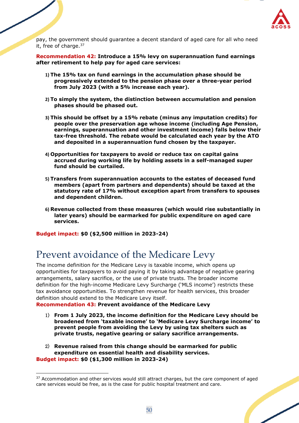

pay, the government should guarantee a decent standard of aged care for all who need it, free of charge. $37$ 

**Recommendation 42: Introduce a 15% levy on superannuation fund earnings after retirement to help pay for aged care services:** 

- **1) The 15% tax on fund earnings in the accumulation phase should be progressively extended to the pension phase over a three-year period from July 2023 (with a 5% increase each year).**
- **2) To simply the system, the distinction between accumulation and pension phases should be phased out.**
- **3) This should be offset by a 15% rebate (minus any imputation credits) for people over the preservation age whose income (including Age Pension, earnings, superannuation and other investment income) falls below their tax-free threshold. The rebate would be calculated each year by the ATO and deposited in a superannuation fund chosen by the taxpayer.**
- **4) Opportunities for taxpayers to avoid or reduce tax on capital gains accrued during working life by holding assets in a self-managed super fund should be curtailed.**
- **5) Transfers from superannuation accounts to the estates of deceased fund members (apart from partners and dependents) should be taxed at the statutory rate of 17% without exception apart from transfers to spouses and dependent children.**
- **6) Revenue collected from these measures (which would rise substantially in later years) should be earmarked for public expenditure on aged care services.**

**Budget impact: \$0 (\$2,500 million in 2023-24)**

## Prevent avoidance of the Medicare Levy

The income definition for the Medicare Levy is taxable income, which opens up opportunities for taxpayers to avoid paying it by taking advantage of negative gearing arrangements, salary sacrifice, or the use of private trusts. The broader income definition for the high-income Medicare Levy Surcharge ('MLS income') restricts these tax avoidance opportunities. To strengthen revenue for health services, this broader definition should extend to the Medicare Levy itself.

**Recommendation 43: Prevent avoidance of the Medicare Levy**

- 1) **From 1 July 2023, the income definition for the Medicare Levy should be broadened from 'taxable income' to 'Medicare Levy Surcharge income' to prevent people from avoiding the Levy by using tax shelters such as private trusts, negative gearing or salary sacrifice arrangements.**
- 2) **Revenue raised from this change should be earmarked for public expenditure on essential health and disability services. Budget impact: \$0 (\$1,300 million in 2023-24)**

<sup>&</sup>lt;sup>37</sup> Accommodation and other services would still attract charges, but the care component of aged care services would be free, as is the case for public hospital treatment and care.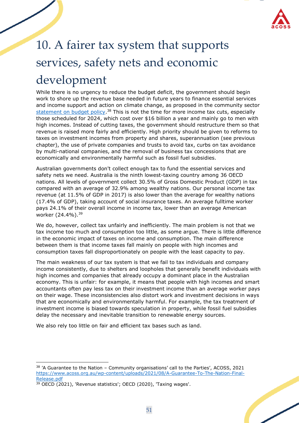

# <span id="page-51-0"></span>10. A fairer tax system that supports services, safety nets and economic development

While there is no urgency to reduce the budget deficit, the government should begin work to shore up the revenue base needed in future years to finance essential services and income support and action on climate change, as proposed in the community sector [statement on budget policy.](https://www.acoss.org.au/wp-content/uploads/2021/08/A-Guarantee-To-The-Nation-Final-Release.pdf)<sup>38</sup> This is not the time for more income tax cuts, especially those scheduled for 2024, which cost over \$16 billion a year and mainly go to men with high incomes. Instead of cutting taxes, the government should restructure them so that revenue is raised more fairly and efficiently. High priority should be given to reforms to taxes on investment incomes from property and shares, superannuation (see previous chapter), the use of private companies and trusts to avoid tax, curbs on tax avoidance by multi-national companies, and the removal of business tax concessions that are economically and environmentally harmful such as fossil fuel subsidies.

Australian governments don't collect enough tax to fund the essential services and safety nets we need. Australia is the ninth lowest-taxing country among 36 OECD nations. All levels of government collect 30.5% of Gross Domestic Product (GDP) in tax compared with an average of 32.9% among wealthy nations. Our personal income tax revenue (at 11.5% of GDP in 2017) is also lower than the average for wealthy nations (17.4% of GDP), taking account of social insurance taxes. An average fulltime worker pays 24.1% of their overall income in income tax, lower than an average American worker (24.4%).<sup>39</sup>

We do, however, collect tax unfairly and inefficiently. The main problem is not that we tax income too much and consumption too little, as some argue. There is little difference in the economic impact of taxes on income and consumption. The main difference between them is that income taxes fall mainly on people with high incomes and consumption taxes fall disproportionately on people with the least capacity to pay.

The main weakness of our tax system is that we fail to tax individuals and company income consistently, due to shelters and loopholes that generally benefit individuals with high incomes and companies that already occupy a dominant place in the Australian economy. This is unfair: for example, it means that people with high incomes and smart accountants often pay less tax on their investment income than an average worker pays on their wage. These inconsistencies also distort work and investment decisions in ways that are economically and environmentally harmful. For example, the tax treatment of investment income is biased towards speculation in property, while fossil fuel subsidies delay the necessary and inevitable transition to renewable energy sources.

We also rely too little on fair and efficient tax bases such as land.

<sup>38</sup> 'A Guarantee to the Nation – Community organisations' call to the Parties', ACOSS, 2021 [https://www.acoss.org.au/wp-content/uploads/2021/08/A-Guarantee-To-The-Nation-Final-](https://www.acoss.org.au/wp-content/uploads/2021/08/A-Guarantee-To-The-Nation-Final-Release.pdf)[Release.pdf](https://www.acoss.org.au/wp-content/uploads/2021/08/A-Guarantee-To-The-Nation-Final-Release.pdf)

<sup>&</sup>lt;sup>39</sup> OECD (2021), 'Revenue statistics'; OECD (2020), 'Taxing wages'.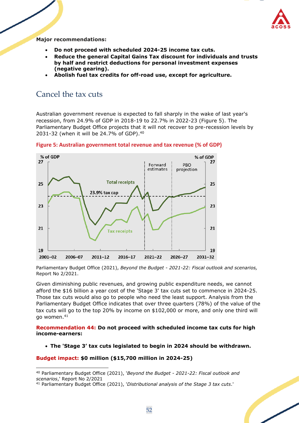

**Major recommendations:**

- **Do not proceed with scheduled 2024-25 income tax cuts.**
- **Reduce the general Capital Gains Tax discount for individuals and trusts by half and restrict deductions for personal investment expenses (negative gearing).**
- **Abolish fuel tax credits for off-road use, except for agriculture.**

## <span id="page-52-0"></span>Cancel the tax cuts

Australian government revenue is expected to fall sharply in the wake of last year's recession, from 24.9% of GDP in 2018-19 to 22.7% in 2022-23 (Figure 5). The Parliamentary Budget Office projects that it will not recover to pre-recession levels by 2031-32 (when it will be 24.7% of GDP).<sup>40</sup>



**Figure 5: Australian government total revenue and tax revenue (% of GDP)**

Parliamentary Budget Office (2021), *Beyond the Budget - 2021-22: Fiscal outlook and scenarios,* Report No 2/2021.

Given diminishing public revenues, and growing public expenditure needs, we cannot afford the \$16 billion a year cost of the 'Stage 3' tax cuts set to commence in 2024-25. Those tax cuts would also go to people who need the least support. Analysis from the Parliamentary Budget Office indicates that over three quarters (78%) of the value of the tax cuts will go to the top 20% by income on \$102,000 or more, and only one third will go women.<sup>41</sup>

**Recommendation 44: Do not proceed with scheduled income tax cuts for high income-earners:**

• **The 'Stage 3' tax cuts legislated to begin in 2024 should be withdrawn.** 

#### **Budget impact: \$0 million (\$15,700 million in 2024-25)**

<sup>40</sup> Parliamentary Budget Office (2021), '*Beyond the Budget - 2021-22: Fiscal outlook and scenarios*,' Report No 2/2021

<sup>41</sup> Parliamentary Budget Office (2021), '*Distributional analysis of the Stage 3 tax cuts*.'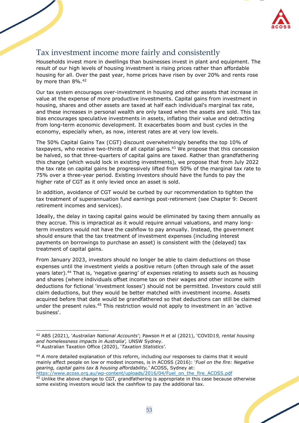

## <span id="page-53-0"></span>Tax investment income more fairly and consistently

Households invest more in dwellings than businesses invest in plant and equipment. The result of our high levels of housing investment is rising prices rather than affordable housing for all. Over the past year, home prices have risen by over 20% and rents rose by more than 8%.<sup>42</sup>

Our tax system encourages over-investment in housing and other assets that increase in value at the expense of more productive investments. Capital gains from investment in housing, shares and other assets are taxed at half each individual's marginal tax rate, and these increases in personal wealth are only taxed when the assets are sold. This tax bias encourages speculative investments in assets, inflating their value and detracting from long-term economic development. It exacerbates boom and bust cycles in the economy, especially when, as now, interest rates are at very low levels.

The 50% Capital Gains Tax (CGT) discount overwhelmingly benefits the top 10% of taxpayers, who receive two-thirds of all capital gains. $43$  We propose that this concession be halved, so that three-quarters of capital gains are taxed. Rather than grandfathering this change (which would lock in existing investments), we propose that from July 2022 the tax rate on capital gains be progressively lifted from 50% of the marginal tax rate to 75% over a three-year period. Existing investors should have the funds to pay the higher rate of CGT as it only levied once an asset is sold.

In addition, avoidance of CGT would be curbed by our recommendation to tighten the tax treatment of superannuation fund earnings post-retirement (see Chapter 9: Decent retirement incomes and services).

Ideally, the delay in taxing capital gains would be eliminated by taxing them annually as they accrue. This is impractical as it would require annual valuations, and many longterm investors would not have the cashflow to pay annually. Instead, the government should ensure that the tax treatment of investment expenses (including interest payments on borrowings to purchase an asset) is consistent with the (delayed) tax treatment of capital gains.

From January 2023, investors should no longer be able to claim deductions on those expenses until the investment yields a positive return (often through sale of the asset years later).<sup>44</sup> That is, 'negative gearing' of expenses relating to assets such as housing and shares (where individuals offset income tax on their wages and other income with deductions for fictional 'investment losses') should not be permitted. Investors could still claim deductions, but they would be better matched with investment income. Assets acquired before that date would be grandfathered so that deductions can still be claimed under the present rules.<sup>45</sup> This restriction would not apply to investment in an 'active business'.

<sup>42</sup> ABS (2021), '*Australian National Accounts'*; Pawson H et al (2021), 'COVID1*9, rental housing and homelessness impacts in Australia',* UNSW Sydney.

<sup>43</sup> Australian Taxation Office (2020), '*Taxation Statistics'.*

<sup>44</sup> A more detailed explanation of this reform, including our responses to claims that it would mainly affect people on low or modest incomes, is in ACOSS (2016): '*Fuel on the fire: Negative gearing, capital gains tax & housing affordability,'* ACOSS, Sydney at: https://www.acoss.org.au/wp-content/uploads/2016/04/Fuel\_on\_the\_fire\_ACOSS.pdf

 $45$  Unlike the above change to CGT, grandfathering is appropriate in this case because otherwise some existing investors would lack the cashflow to pay the additional tax.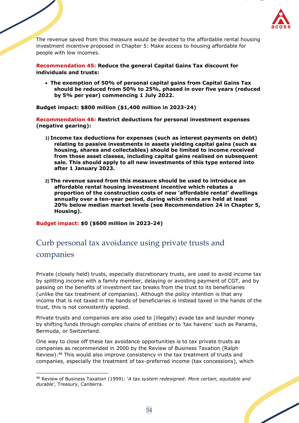

The revenue saved from this measure would be devoted to the affordable rental housing investment incentive proposed in Chapter 5: Make access to housing affordable for people with low incomes.

**Recommendation 45: Reduce the general Capital Gains Tax discount for individuals and trusts:** 

• **The exemption of 50% of personal capital gains from Capital Gains Tax should be reduced from 50% to 25%, phased in over five years (reduced by 5% per year) commencing 1 July 2022.**

**Budget impact: \$800 million (\$1,400 million in 2023-24)**

**Recommendation 46: Restrict deductions for personal investment expenses (negative gearing):**

- **1) Income tax deductions for expenses (such as interest payments on debt) relating to passive investments in assets yielding capital gains (such as housing, shares and collectables) should be limited to income received from those asset classes, including capital gains realised on subsequent sale. This should apply to all new investments of this type entered into after 1 January 2023.**
- **2) The revenue saved from this measure should be used to introduce an affordable rental housing investment incentive which rebates a proportion of the construction costs of new 'affordable rental' dwellings annually over a ten-year period, during which rents are held at least 20% below median market levels (see Recommendation 24 in Chapter 5, Housing).**

**Budget impact: \$0 (\$600 million in 2023-24)**

## <span id="page-54-0"></span>Curb personal tax avoidance using private trusts and companies

Private (closely held) trusts, especially discretionary trusts, are used to avoid income tax by splitting income with a family member, delaying or avoiding payment of CGT, and by passing on the benefits of investment tax breaks from the trust to its beneficiaries (unlike the tax treatment of companies). Although the policy intention is that any income that is not taxed in the hands of beneficiaries is instead taxed in the hands of the trust, this is not consistently applied.

Private trusts and companies are also used to (illegally) evade tax and launder money by shifting funds through complex chains of entities or to 'tax havens' such as Panama, Bermuda, or Switzerland.

One way to close off these tax avoidance opportunities is to tax private trusts as companies as recommended in 2000 by the Review of Business Taxation (Ralph Review).<sup>46</sup> This would also improve consistency in the tax treatment of trusts and companies, especially the treatment of tax-preferred income (tax concessions), which

<sup>46</sup> Review of Business Taxation (1999): '*A tax system redesigned: More certain, equitable and durable',* Treasury, Canberra.

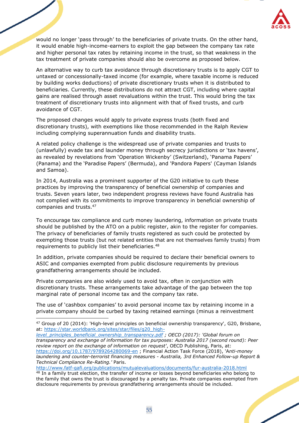

would no longer 'pass through' to the beneficiaries of private trusts. On the other hand, it would enable high-income-earners to exploit the gap between the company tax rate and higher personal tax rates by retaining income in the trust, so that weakness in the tax treatment of private companies should also be overcome as proposed below.

An alternative way to curb tax avoidance through discretionary trusts is to apply CGT to untaxed or concessionally-taxed income (for example, where taxable income is reduced by building works deductions) of private discretionary trusts when it is distributed to beneficiaries. Currently, these distributions do not attract CGT, including where capital gains are realised through asset revaluations within the trust. This would bring the tax treatment of discretionary trusts into alignment with that of fixed trusts, and curb avoidance of CGT.

The proposed changes would apply to private express trusts (both fixed and discretionary trusts), with exemptions like those recommended in the Ralph Review including complying superannuation funds and disability trusts.

A related policy challenge is the widespread use of private companies and trusts to (unlawfully) evade tax and launder money through secrecy jurisdictions or 'tax havens', as revealed by revelations from 'Operation Wickenby' (Switzerland), 'Panama Papers' (Panama) and the 'Paradise Papers' (Bermuda), and 'Pandora Papers' (Cayman Islands and Samoa).

In 2014, Australia was a prominent supporter of the G20 initiative to curb these practices by improving the transparency of beneficial ownership of companies and trusts. Seven years later, two independent progress reviews have found Australia has not complied with its commitments to improve transparency in beneficial ownership of companies and trusts. 47

To encourage tax compliance and curb money laundering, information on private trusts should be published by the ATO on a public register, akin to the register for companies. The privacy of beneficiaries of family trusts registered as such could be protected by exempting those trusts (but not related entities that are not themselves family trusts) from requirements to publicly list their beneficiaries.<sup>48</sup>

In addition, private companies should be required to declare their beneficial owners to ASIC and companies exempted from public disclosure requirements by previous grandfathering arrangements should be included.

Private companies are also widely used to avoid tax, often in conjunction with discretionary trusts. These arrangements take advantage of the gap between the top marginal rate of personal income tax and the company tax rate.

The use of 'cashbox companies' to avoid personal income tax by retaining income in a private company should be curbed by taxing retained earnings (minus a reinvestment

*[level\\_principles\\_beneficial\\_ownership\\_transparency.pdf](https://star.worldbank.org/sites/star/files/g20_high-level_principles_beneficial_ownership_transparency.pdf) ; OECD (2017): 'Global forum on transparency and exchange of information for tax purposes: Australia 2017 (second round): Peer review report on the exchange of information on request'*, OECD Publishing, Paris, at: <https://doi.org/10.1787/9789264280069-en> ; Financial Action Task Force (2018), 'A*nti-money laundering and counter-terrorist financing measures - Australia, 3rd Enhanced Follow-up Report & Technical Compliance Re-Rating.'* Paris.

<http://www.fatf-gafi.org/publications/mutualevaluations/documents/fur-australia-2018.html>

<sup>47</sup> Group of 20 (2014): 'High-level principles on beneficial ownership transparency', G20, Brisbane, at: [https://star.worldbank.org/sites/star/files/g20\\_high](https://star.worldbank.org/sites/star/files/g20_high-level_principles_beneficial_ownership_transparency.pdf)*-*

<sup>&</sup>lt;sup>48</sup> In a family trust election, the transfer of income or losses beyond beneficiaries who belong to the family that owns the trust is discouraged by a penalty tax. Private companies exempted from disclosure requirements by previous grandfathering arrangements should be included.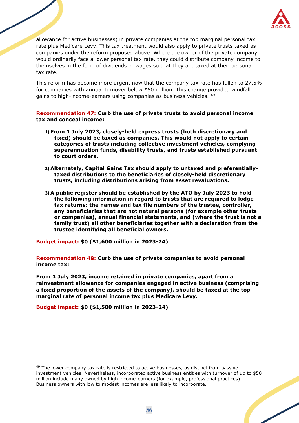

allowance for active businesses) in private companies at the top marginal personal tax rate plus Medicare Levy. This tax treatment would also apply to private trusts taxed as companies under the reform proposed above. Where the owner of the private company would ordinarily face a lower personal tax rate, they could distribute company income to themselves in the form of dividends or wages so that they are taxed at their personal tax rate.

This reform has become more urgent now that the company tax rate has fallen to 27.5% for companies with annual turnover below \$50 million. This change provided windfall gains to high-income-earners using companies as business vehicles. <sup>49</sup>

**Recommendation 47: Curb the use of private trusts to avoid personal income tax and conceal income:**

- **1) From 1 July 2023, closely-held express trusts (both discretionary and fixed) should be taxed as companies. This would not apply to certain categories of trusts including collective investment vehicles, complying superannuation funds, disability trusts, and trusts established pursuant to court orders.**
- **2) Alternately, Capital Gains Tax should apply to untaxed and preferentiallytaxed distributions to the beneficiaries of closely-held discretionary trusts, including distributions arising from asset revaluations.**
- **3) A public register should be established by the ATO by July 2023 to hold the following information in regard to trusts that are required to lodge tax returns: the names and tax file numbers of the trustee, controller, any beneficiaries that are not natural persons (for example other trusts or companies), annual financial statements, and (where the trust is not a family trust) all other beneficiaries together with a declaration from the trustee identifying all beneficial owners.**

**Budget impact: \$0 (\$1,600 million in 2023-24)**

**Recommendation 48: Curb the use of private companies to avoid personal income tax:**

**From 1 July 2023, income retained in private companies, apart from a reinvestment allowance for companies engaged in active business (comprising a fixed proportion of the assets of the company), should be taxed at the top marginal rate of personal income tax plus Medicare Levy.**

<span id="page-56-0"></span>**Budget impact: \$0 (\$1,500 million in 2023-24)**

<sup>&</sup>lt;sup>49</sup> The lower company tax rate is restricted to active businesses, as distinct from passive investment vehicles. Nevertheless, incorporated active business entities with turnover of up to \$50 million include many owned by high income-earners (for example, professional practices). Business owners with low to modest incomes are less likely to incorporate.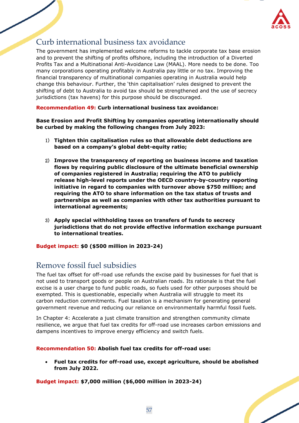

## Curb international business tax avoidance

The government has implemented welcome reforms to tackle corporate tax base erosion and to prevent the shifting of profits offshore, including the introduction of a Diverted Profits Tax and a Multinational Anti-Avoidance Law (MAAL). More needs to be done. Too many corporations operating profitably in Australia pay little or no tax. Improving the financial transparency of multinational companies operating in Australia would help change this behaviour. Further, the 'thin capitalisation' rules designed to prevent the shifting of debt to Australia to avoid tax should be strengthened and the use of secrecy jurisdictions (tax havens) for this purpose should be discouraged.

**Recommendation 49: Curb international business tax avoidance:**

**Base Erosion and Profit Shifting by companies operating internationally should be curbed by making the following changes from July 2023:**

- 1) **Tighten thin capitalisation rules so that allowable debt deductions are based on a company's global debt-equity ratio;**
- 2) **Improve the transparency of reporting on business income and taxation flows by requiring public disclosure of the ultimate beneficial ownership of companies registered in Australia; requiring the ATO to publicly release high-level reports under the OECD country-by-country reporting initiative in regard to companies with turnover above \$750 million; and requiring the ATO to share information on the tax status of trusts and partnerships as well as companies with other tax authorities pursuant to international agreements;**
- 3) **Apply special withholding taxes on transfers of funds to secrecy jurisdictions that do not provide effective information exchange pursuant to international treaties.**

**Budget impact: \$0 (\$500 million in 2023-24)**

## <span id="page-57-0"></span>Remove fossil fuel subsidies

The fuel tax offset for off-road use refunds the excise paid by businesses for fuel that is not used to transport goods or people on Australian roads. Its rationale is that the fuel excise is a user charge to fund public roads, so fuels used for other purposes should be exempted. This is questionable, especially when Australia will struggle to meet its carbon reduction commitments. Fuel taxation is a mechanism for generating general government revenue and reducing our reliance on environmentally harmful fossil fuels.

In Chapter 4: Accelerate a just climate transition and strengthen community climate resilience, we argue that fuel tax credits for off-road use increases carbon emissions and dampens incentives to improve energy efficiency and switch fuels.

### **Recommendation 50: Abolish fuel tax credits for off-road use:**

• **Fuel tax credits for off-road use, except agriculture, should be abolished from July 2022.**

**Budget impact: \$7,000 million (\$6,000 million in 2023-24)**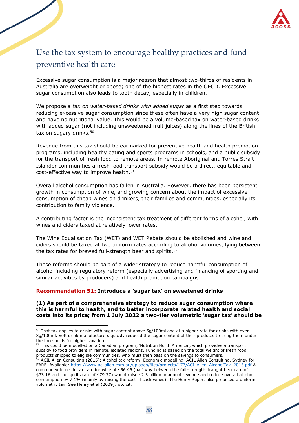

## Use the tax system to encourage healthy practices and fund preventive health care

Excessive sugar consumption is a major reason that almost two-thirds of residents in Australia are overweight or obese; one of the highest rates in the OECD. Excessive sugar consumption also leads to tooth decay, especially in children.

We propose a *tax on water-based drinks with added sugar* as a first step towards reducing excessive sugar consumption since these often have a very high sugar content and have no nutritional value. This would be a volume-based tax on water-based drinks with added sugar (not including unsweetened fruit juices) along the lines of the British tax on sugary drinks.<sup>50</sup>

Revenue from this tax should be earmarked for preventive health and health promotion programs, including healthy eating and sports programs in schools, and a public subsidy for the transport of fresh food to remote areas. In remote Aboriginal and Torres Strait Islander communities a fresh food transport subsidy would be a direct, equitable and cost-effective way to improve health. $51$ 

Overall alcohol consumption has fallen in Australia. However, there has been persistent growth in consumption of wine, and growing concern about the impact of excessive consumption of cheap wines on drinkers, their families and communities, especially its contribution to family violence.

A contributing factor is the inconsistent tax treatment of different forms of alcohol, with wines and ciders taxed at relatively lower rates.

The Wine Equalisation Tax (WET) and WET Rebate should be abolished and wine and ciders should be taxed at two uniform rates according to alcohol volumes, lying between the tax rates for brewed full-strength beer and spirits.<sup>52</sup>

These reforms should be part of a wider strategy to reduce harmful consumption of alcohol including regulatory reform (especially advertising and financing of sporting and similar activities by producers) and health promotion campaigns.

#### **Recommendation 51: Introduce a 'sugar tax' on sweetened drinks**

#### **(1) As part of a comprehensive strategy to reduce sugar consumption where this is harmful to health, and to better incorporate related health and social costs into its price; from 1 July 2022 a two-tier volumetric 'sugar tax' should be**

 $50$  That tax applies to drinks with sugar content above 5g/100ml and at a higher rate for drinks with over 8g/100ml. Soft drink manufacturers quickly reduced the sugar content of their products to bring them under the thresholds for higher taxation.

<sup>51</sup> This could be modelled on a Canadian program, 'Nutrition North America', which provides a transport subsidy to food providers in remote, isolated regions. Funding is based on the total weight of fresh food products shipped to eligible communities, who must then pass on the savings to consumers.

 $52$  ACIL Allen Consulting (2015): Alcohol tax reform: Economic modelling, ACIL Allen Consulting, Sydney for FARE. Available: [https://www.acilallen.com.au/uploads/files/projects/177/ACILAllen\\_AlcoholTax\\_2015.pdf](https://www.acilallen.com.au/uploads/files/projects/177/ACILAllen_AlcoholTax_2015.pdf) A common volumetric tax rate for wine at \$56.46 (half way between the full-strength draught beer rate of \$33.16 and the spirits rate of \$79.77) would raise \$2.3 billion in annual revenue and reduce overall alcohol consumption by 7.1% (mainly by raising the cost of cask wines); The Henry Report also proposed a uniform volumetric tax. See Henry et al (2009): op. cit.